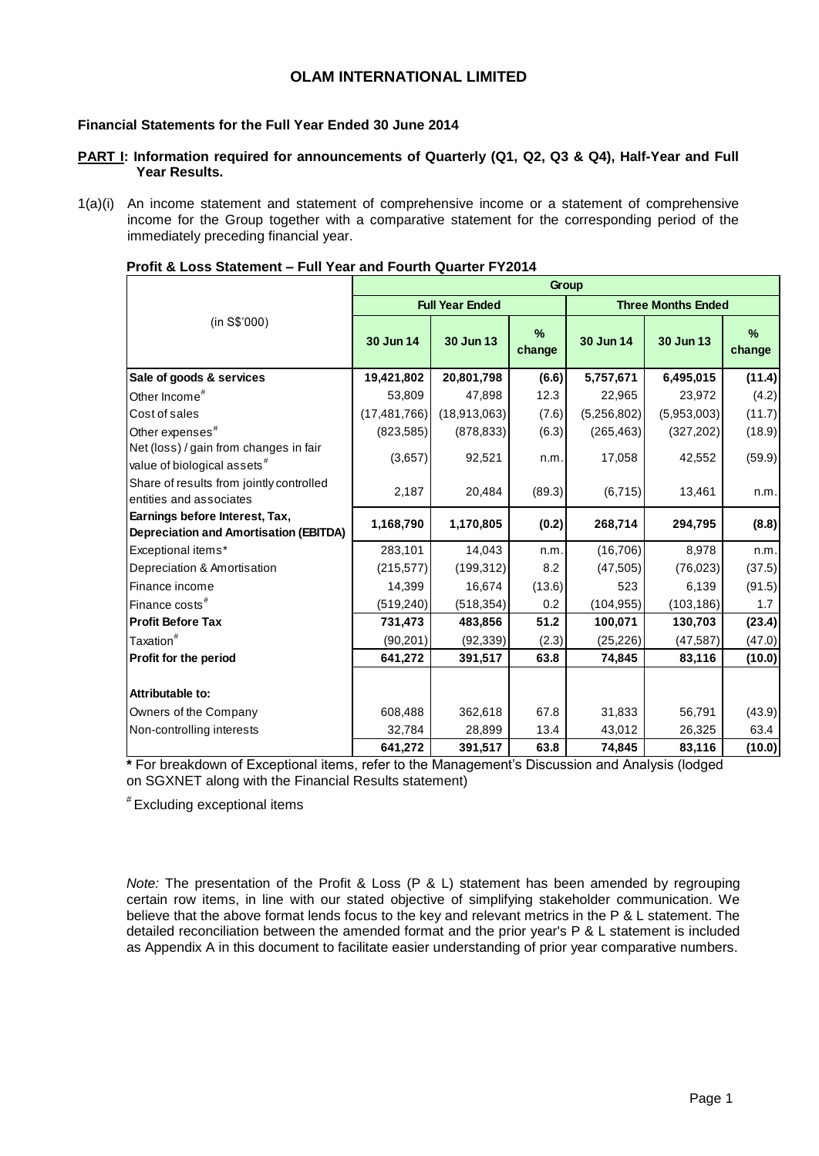### **OLAM INTERNATIONAL LIMITED**

### **Financial Statements for the Full Year Ended 30 June 2014**

- **PART I: Information required for announcements of Quarterly (Q1, Q2, Q3 & Q4), Half-Year and Full Year Results.**
- 1(a)(i) An income statement and statement of comprehensive income or a statement of comprehensive income for the Group together with a comparative statement for the corresponding period of the immediately preceding financial year.

|                                                                                   |                |                        | Group          |             |                           |             |
|-----------------------------------------------------------------------------------|----------------|------------------------|----------------|-------------|---------------------------|-------------|
|                                                                                   |                | <b>Full Year Ended</b> |                |             | <b>Three Months Ended</b> |             |
| (in S\$'000)                                                                      | 30 Jun 14      | 30 Jun 13              | $\%$<br>change | 30 Jun 14   | 30 Jun 13                 | %<br>change |
| Sale of goods & services                                                          | 19,421,802     | 20,801,798             | (6.6)          | 5,757,671   | 6,495,015                 | (11.4)      |
| Other Income <sup>#</sup>                                                         | 53,809         | 47,898                 | 12.3           | 22,965      | 23,972                    | (4.2)       |
| Cost of sales                                                                     | (17, 481, 766) | (18,913,063)           | (7.6)          | (5,256,802) | (5,953,003)               | (11.7)      |
| Other expenses <sup>#</sup>                                                       | (823, 585)     | (878, 833)             | (6.3)          | (265, 463)  | (327, 202)                | (18.9)      |
| Net (loss) / gain from changes in fair<br>value of biological assets <sup>#</sup> | (3,657)        | 92,521                 | n.m.           | 17,058      | 42,552                    | (59.9)      |
| Share of results from jointly controlled<br>entities and associates               | 2,187          | 20,484                 | (89.3)         | (6, 715)    | 13,461                    | n.m.        |
| Earnings before Interest, Tax,<br><b>Depreciation and Amortisation (EBITDA)</b>   | 1,168,790      | 1,170,805              | (0.2)          | 268,714     | 294,795                   | (8.8)       |
| Exceptional items*                                                                | 283,101        | 14,043                 | n.m.           | (16, 706)   | 8,978                     | n.m.        |
| Depreciation & Amortisation                                                       | (215, 577)     | (199, 312)             | 8.2            | (47, 505)   | (76, 023)                 | (37.5)      |
| Finance income                                                                    | 14,399         | 16,674                 | (13.6)         | 523         | 6,139                     | (91.5)      |
| Finance costs <sup>#</sup>                                                        | (519, 240)     | (518, 354)             | 0.2            | (104, 955)  | (103, 186)                | 1.7         |
| <b>Profit Before Tax</b>                                                          | 731,473        | 483,856                | 51.2           | 100,071     | 130,703                   | (23.4)      |
| Taxation <sup>#</sup>                                                             | (90, 201)      | (92, 339)              | (2.3)          | (25, 226)   | (47, 587)                 | (47.0)      |
| Profit for the period                                                             | 641,272        | 391,517                | 63.8           | 74,845      | 83,116                    | (10.0)      |
| Attributable to:                                                                  |                |                        |                |             |                           |             |
| Owners of the Company                                                             | 608,488        | 362,618                | 67.8           | 31,833      | 56,791                    | (43.9)      |
| Non-controlling interests                                                         | 32,784         | 28,899                 | 13.4           | 43,012      | 26,325                    | 63.4        |
|                                                                                   | 641,272        | 391,517                | 63.8           | 74,845      | 83,116                    | (10.0)      |

#### **Profit & Loss Statement – Full Year and Fourth Quarter FY2014**

**\*** For breakdown of Exceptional items, refer to the Management's Discussion and Analysis (lodged on SGXNET along with the Financial Results statement)

# Excluding exceptional items

*Note:* The presentation of the Profit & Loss (P & L) statement has been amended by regrouping certain row items, in line with our stated objective of simplifying stakeholder communication. We believe that the above format lends focus to the key and relevant metrics in the P & L statement. The detailed reconciliation between the amended format and the prior year's P & L statement is included as Appendix A in this document to facilitate easier understanding of prior year comparative numbers.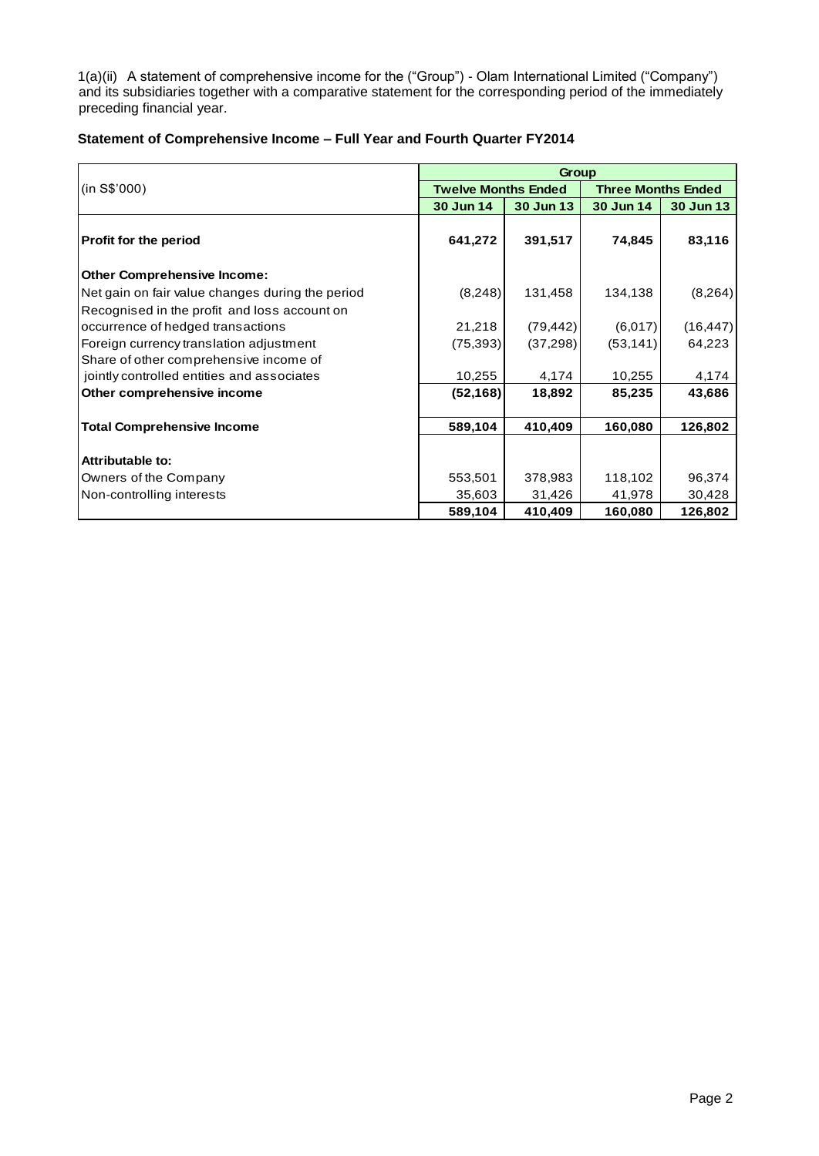1(a)(ii) A statement of comprehensive income for the ("Group") - Olam International Limited ("Company") and its subsidiaries together with a comparative statement for the corresponding period of the immediately preceding financial year.

| Statement of Comprehensive Income - Full Year and Fourth Quarter FY2014 |  |
|-------------------------------------------------------------------------|--|
|-------------------------------------------------------------------------|--|

|                                                  |                            | Group     |                           |           |
|--------------------------------------------------|----------------------------|-----------|---------------------------|-----------|
| (in S\$'000)                                     | <b>Twelve Months Ended</b> |           | <b>Three Months Ended</b> |           |
|                                                  | 30 Jun 14                  | 30 Jun 13 | 30 Jun 14                 | 30 Jun 13 |
| Profit for the period                            | 641,272                    | 391,517   | 74,845                    | 83,116    |
| <b>Other Comprehensive Income:</b>               |                            |           |                           |           |
| Net gain on fair value changes during the period | (8,248)                    | 131,458   | 134,138                   | (8, 264)  |
| Recognised in the profit and loss account on     |                            |           |                           |           |
| occurrence of hedged transactions                | 21,218                     | (79, 442) | (6,017)                   | (16, 447) |
| Foreign currency translation adjustment          | (75, 393)                  | (37, 298) | (53, 141)                 | 64,223    |
| Share of other comprehensive income of           |                            |           |                           |           |
| jointly controlled entities and associates       | 10,255                     | 4,174     | 10,255                    | 4,174     |
| Other comprehensive income                       | (52, 168)                  | 18,892    | 85,235                    | 43,686    |
| <b>Total Comprehensive Income</b>                | 589,104                    | 410,409   | 160,080                   | 126,802   |
|                                                  |                            |           |                           |           |
| <b>Attributable to:</b>                          |                            |           |                           |           |
| Owners of the Company                            | 553,501                    | 378,983   | 118,102                   | 96,374    |
| Non-controlling interests                        | 35,603                     | 31,426    | 41,978                    | 30,428    |
|                                                  | 589,104                    | 410,409   | 160,080                   | 126,802   |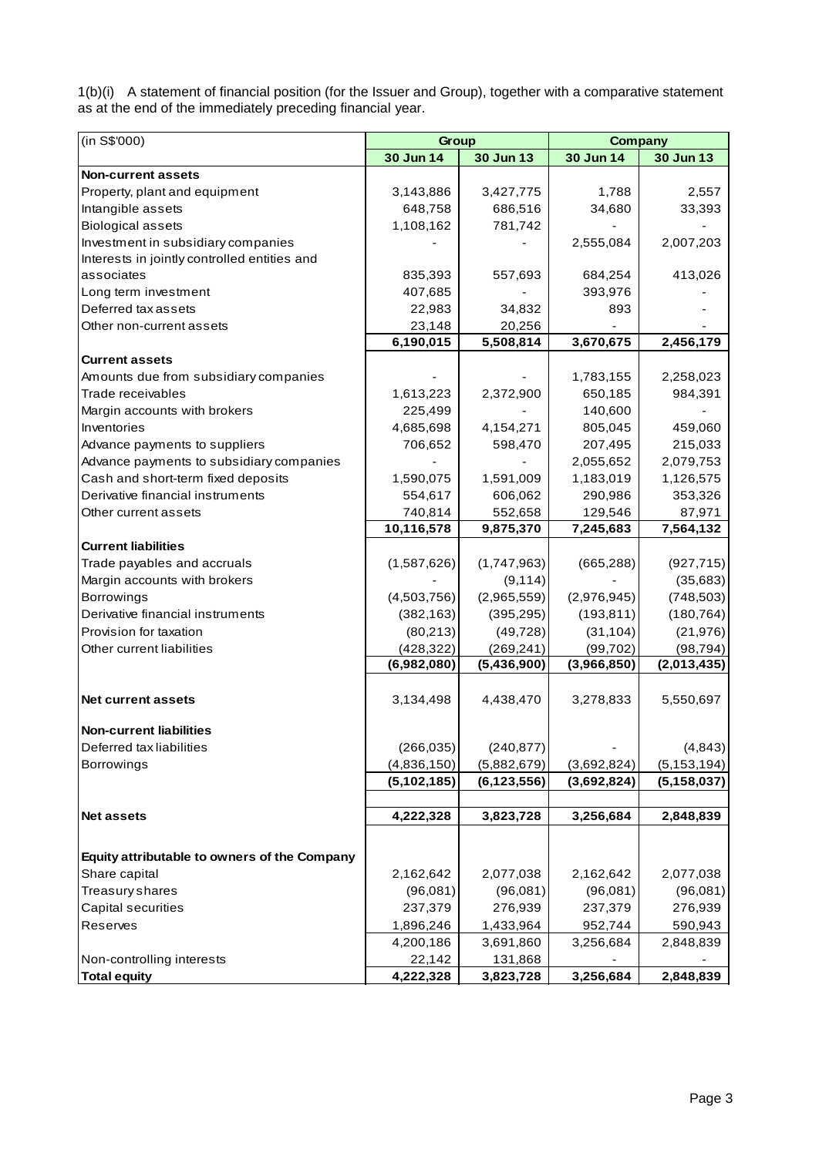1(b)(i) A statement of financial position (for the Issuer and Group), together with a comparative statement as at the end of the immediately preceding financial year.

| (in S\$'000)                                               | Group         |               | <b>Company</b> |               |
|------------------------------------------------------------|---------------|---------------|----------------|---------------|
|                                                            | 30 Jun 14     | 30 Jun 13     | 30 Jun 14      | 30 Jun 13     |
| <b>Non-current assets</b>                                  |               |               |                |               |
| Property, plant and equipment                              | 3,143,886     | 3,427,775     | 1,788          | 2,557         |
| Intangible assets                                          | 648,758       | 686,516       | 34,680         | 33,393        |
| <b>Biological assets</b>                                   | 1,108,162     | 781,742       |                |               |
| Investment in subsidiary companies                         |               |               | 2,555,084      | 2,007,203     |
| Interests in jointly controlled entities and               |               |               |                |               |
| associates                                                 | 835,393       | 557,693       | 684,254        | 413,026       |
| Long term investment                                       | 407,685       |               | 393,976        |               |
| Deferred tax assets                                        | 22,983        | 34,832        | 893            |               |
| Other non-current assets                                   | 23,148        | 20,256        |                |               |
|                                                            | 6,190,015     | 5,508,814     | 3,670,675      | 2,456,179     |
| <b>Current assets</b>                                      |               |               |                |               |
| Amounts due from subsidiary companies                      |               |               | 1,783,155      | 2,258,023     |
| Trade receivables                                          | 1,613,223     | 2,372,900     | 650,185        | 984,391       |
| Margin accounts with brokers                               | 225,499       |               | 140,600        |               |
| Inventories                                                | 4,685,698     | 4,154,271     | 805,045        | 459,060       |
| Advance payments to suppliers                              | 706,652       | 598,470       | 207,495        | 215,033       |
| Advance payments to subsidiary companies                   |               |               | 2,055,652      | 2,079,753     |
| Cash and short-term fixed deposits                         | 1,590,075     | 1,591,009     | 1,183,019      | 1,126,575     |
| Derivative financial instruments                           | 554,617       | 606,062       | 290,986        | 353,326       |
| Other current assets                                       | 740,814       | 552,658       | 129,546        | 87,971        |
|                                                            | 10,116,578    | 9,875,370     | 7,245,683      | 7,564,132     |
| <b>Current liabilities</b>                                 |               |               |                |               |
| Trade payables and accruals                                | (1,587,626)   | (1,747,963)   | (665, 288)     | (927, 715)    |
| Margin accounts with brokers                               |               | (9, 114)      |                | (35, 683)     |
| <b>Borrowings</b>                                          | (4,503,756)   | (2,965,559)   | (2,976,945)    | (748, 503)    |
| Derivative financial instruments                           | (382, 163)    | (395, 295)    | (193, 811)     | (180, 764)    |
| Provision for taxation                                     | (80,213)      | (49, 728)     | (31, 104)      | (21, 976)     |
| Other current liabilities                                  | (428, 322)    | (269, 241)    | (99, 702)      | (98, 794)     |
|                                                            | (6,982,080)   | (5,436,900)   | (3,966,850)    | (2,013,435)   |
| <b>Net current assets</b>                                  | 3,134,498     | 4,438,470     | 3,278,833      | 5,550,697     |
|                                                            |               |               |                |               |
| <b>Non-current liabilities</b><br>Deferred tax liabilities | (266, 035)    | (240, 877)    |                | (4,843)       |
| <b>Borrowings</b>                                          | (4,836,150)   | (5,882,679)   | (3,692,824)    | (5, 153, 194) |
|                                                            | (5, 102, 185) | (6, 123, 556) | (3,692,824)    | (5, 158, 037) |
|                                                            |               |               |                |               |
| <b>Net assets</b>                                          | 4,222,328     | 3,823,728     | 3,256,684      | 2,848,839     |
|                                                            |               |               |                |               |
| Equity attributable to owners of the Company               |               |               |                |               |
| Share capital                                              | 2,162,642     | 2,077,038     | 2,162,642      | 2,077,038     |
| Treasury shares                                            | (96,081)      | (96,081)      | (96,081)       | (96,081)      |
| Capital securities                                         | 237,379       | 276,939       | 237,379        | 276,939       |
| Reserves                                                   | 1,896,246     | 1,433,964     | 952,744        | 590,943       |
|                                                            | 4,200,186     | 3,691,860     | 3,256,684      | 2,848,839     |
| Non-controlling interests                                  | 22,142        | 131,868       |                |               |
| <b>Total equity</b>                                        | 4,222,328     | 3,823,728     | 3,256,684      | 2,848,839     |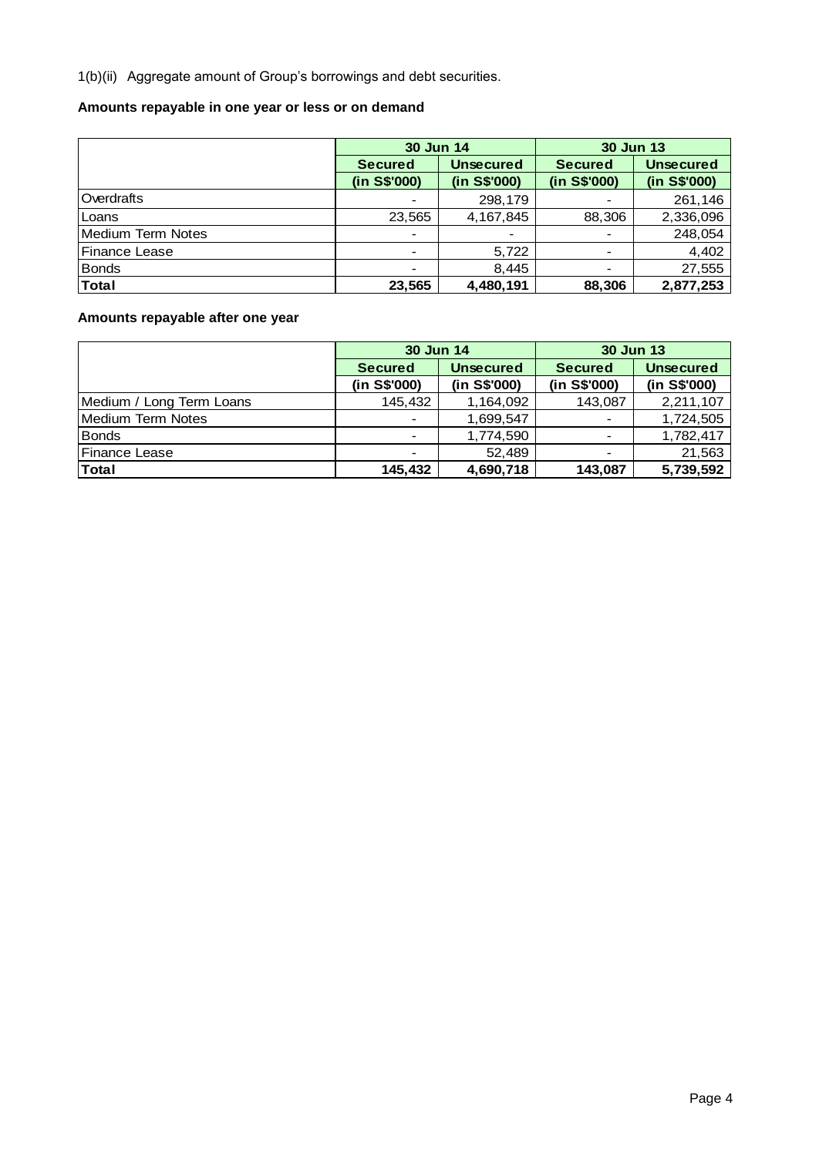1(b)(ii) Aggregate amount of Group's borrowings and debt securities.

## **Amounts repayable in one year or less or on demand**

|                   | 30 Jun 14                |                  | 30 Jun 13      |                  |  |  |
|-------------------|--------------------------|------------------|----------------|------------------|--|--|
|                   | <b>Secured</b>           | <b>Unsecured</b> | <b>Secured</b> | <b>Unsecured</b> |  |  |
|                   | (in S\$'000)             | (in S\$'000)     | (in S\$'000)   | (in S\$'000)     |  |  |
| Overdrafts        | $\overline{\phantom{a}}$ | 298,179          |                | 261,146          |  |  |
| Loans             | 23,565                   | 4,167,845        | 88,306         | 2,336,096        |  |  |
| Medium Term Notes | $\overline{\phantom{a}}$ |                  |                | 248,054          |  |  |
| Finance Lease     | $\blacksquare$           | 5,722            |                | 4,402            |  |  |
| <b>Bonds</b>      | $\blacksquare$           | 8,445            |                | 27,555           |  |  |
| <b>Total</b>      | 23,565                   | 4,480,191        | 88,306         | 2,877,253        |  |  |

## **Amounts repayable after one year**

|                          | 30 Jun 14                |                  | <b>30 Jun 13</b> |                  |
|--------------------------|--------------------------|------------------|------------------|------------------|
|                          | <b>Secured</b>           | <b>Unsecured</b> | <b>Secured</b>   | <b>Unsecured</b> |
|                          | (in S\$'000)             | (in S\$'000)     | (in S\$'000)     | (in S\$'000)     |
| Medium / Long Term Loans | 145,432                  | 1,164,092        | 143,087          | 2,211,107        |
| <b>Medium Term Notes</b> | $\overline{\phantom{a}}$ | 1,699,547        |                  | 1,724,505        |
| <b>Bonds</b>             | $\overline{\phantom{a}}$ | 1,774,590        |                  | 1,782,417        |
| <b>IFinance Lease</b>    | $\overline{\phantom{a}}$ | 52.489           |                  | 21,563           |
| Total                    | 145,432                  | 4,690,718        | 143,087          | 5,739,592        |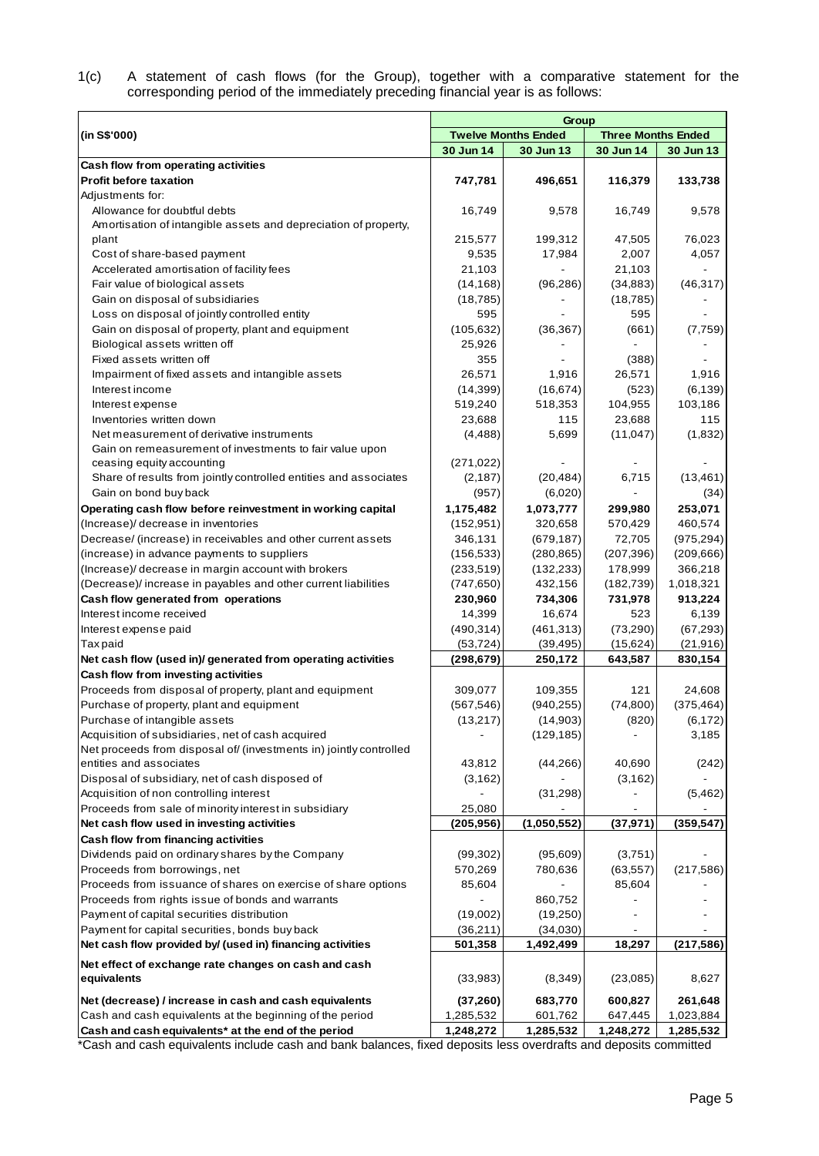| 1(c) |  |  |  |  |  | A statement of cash flows (for the Group), together with a comparative statement for the |  |  |
|------|--|--|--|--|--|------------------------------------------------------------------------------------------|--|--|
|      |  |  |  |  |  | corresponding period of the immediately preceding financial year is as follows:          |  |  |

|                                                                                                                   |                      | Group                      |                           |            |
|-------------------------------------------------------------------------------------------------------------------|----------------------|----------------------------|---------------------------|------------|
| (in S\$'000)                                                                                                      |                      | <b>Twelve Months Ended</b> | <b>Three Months Ended</b> |            |
|                                                                                                                   | 30 Jun 14            | 30 Jun 13                  | 30 Jun 14                 | 30 Jun 13  |
| Cash flow from operating activities                                                                               |                      |                            |                           |            |
| <b>Profit before taxation</b>                                                                                     | 747,781              | 496,651                    | 116,379                   | 133,738    |
| Adjustments for:                                                                                                  |                      |                            |                           |            |
| Allowance for doubtful debts                                                                                      | 16,749               | 9,578                      | 16,749                    | 9,578      |
| Amortisation of intangible assets and depreciation of property,                                                   |                      |                            |                           |            |
| plant                                                                                                             | 215,577              | 199,312                    | 47,505                    | 76,023     |
| Cost of share-based payment                                                                                       | 9,535                | 17,984                     | 2,007                     | 4,057      |
| Accelerated amortisation of facility fees                                                                         | 21,103               |                            | 21,103                    |            |
| Fair value of biological assets                                                                                   | (14, 168)            | (96, 286)                  | (34, 883)                 | (46, 317)  |
| Gain on disposal of subsidiaries                                                                                  | (18, 785)            |                            | (18, 785)                 |            |
| Loss on disposal of jointly controlled entity                                                                     | 595                  |                            | 595                       |            |
| Gain on disposal of property, plant and equipment<br>Biological assets written off                                | (105, 632)<br>25,926 | (36, 367)                  | (661)                     | (7, 759)   |
| Fixed assets written off                                                                                          | 355                  |                            | (388)                     |            |
| Impairment of fixed assets and intangible assets                                                                  | 26,571               | 1,916                      | 26,571                    | 1,916      |
| Interest income                                                                                                   | (14, 399)            | (16, 674)                  | (523)                     | (6, 139)   |
| Interest expense                                                                                                  | 519,240              | 518,353                    | 104,955                   | 103,186    |
| Inventories written down                                                                                          | 23,688               | 115                        | 23,688                    | 115        |
| Net measurement of derivative instruments                                                                         | (4, 488)             | 5,699                      | (11, 047)                 | (1,832)    |
| Gain on remeasurement of investments to fair value upon                                                           |                      |                            |                           |            |
| ceasing equity accounting                                                                                         | (271, 022)           |                            |                           |            |
| Share of results from jointly controlled entities and associates                                                  | (2, 187)             | (20, 484)                  | 6,715                     | (13, 461)  |
| Gain on bond buy back                                                                                             | (957)                | (6,020)                    |                           | (34)       |
| Operating cash flow before reinvestment in working capital                                                        | 1,175,482            | 1,073,777                  | 299,980                   | 253,071    |
| (Increase)/ decrease in inventories                                                                               | (152, 951)           | 320,658                    | 570,429                   | 460,574    |
| Decrease/ (increase) in receivables and other current assets                                                      | 346,131              | (679, 187)                 | 72,705                    | (975, 294) |
| (increase) in advance payments to suppliers                                                                       | (156, 533)           | (280, 865)                 | (207, 396)                | (209, 666) |
| (Increase)/ decrease in margin account with brokers                                                               | (233, 519)           | (132, 233)                 | 178,999                   | 366,218    |
| (Decrease)/increase in payables and other current liabilities                                                     | (747, 650)           | 432,156                    | (182, 739)                | 1,018,321  |
| Cash flow generated from operations                                                                               | 230,960              | 734,306                    | 731,978                   | 913,224    |
| Interest income received                                                                                          | 14,399               | 16,674                     | 523                       | 6,139      |
| Interest expense paid                                                                                             | (490, 314)           | (461, 313)                 | (73, 290)                 | (67, 293)  |
| <b>Taxpaid</b>                                                                                                    | (53, 724)            | (39, 495)                  | (15, 624)                 | (21, 916)  |
| Net cash flow (used in)/ generated from operating activities                                                      | (298, 679)           | 250,172                    | 643,587                   | 830,154    |
| Cash flow from investing activities                                                                               |                      |                            |                           |            |
| Proceeds from disposal of property, plant and equipment                                                           | 309,077              | 109,355                    | 121                       | 24,608     |
| Purchase of property, plant and equipment                                                                         | (567, 546)           | (940, 255)                 | (74, 800)                 | (375, 464) |
| Purchase of intangible assets                                                                                     | (13, 217)            | (14,903)                   | (820)                     | (6, 172)   |
| Acquisition of subsidiaries, net of cash acquired                                                                 |                      | (129, 185)                 |                           | 3,185      |
| Net proceeds from disposal of/ (investments in) jointly controlled                                                |                      |                            |                           |            |
| entities and associates                                                                                           | 43,812               | (44, 266)                  | 40,690                    | (242)      |
| Disposal of subsidiary, net of cash disposed of                                                                   | (3, 162)             |                            | (3, 162)                  |            |
| Acquisition of non controlling interest                                                                           |                      | (31, 298)                  |                           | (5, 462)   |
| Proceeds from sale of minority interest in subsidiary                                                             | 25,080               |                            |                           |            |
| Net cash flow used in investing activities                                                                        | (205, 956)           | (1,050,552)                | (37, 971)                 | (359, 547) |
| Cash flow from financing activities                                                                               |                      |                            |                           |            |
| Dividends paid on ordinary shares by the Company                                                                  | (99, 302)            | (95,609)                   | (3,751)                   |            |
| Proceeds from borrowings, net                                                                                     | 570,269              | 780,636                    | (63, 557)                 | (217, 586) |
| Proceeds from issuance of shares on exercise of share options<br>Proceeds from rights issue of bonds and warrants | 85,604               |                            | 85,604                    |            |
| Payment of capital securities distribution                                                                        | (19,002)             | 860,752<br>(19,250)        |                           |            |
| Payment for capital securities, bonds buy back                                                                    | (36,211)             | (34,030)                   |                           |            |
| Net cash flow provided by/ (used in) financing activities                                                         | 501,358              | 1,492,499                  | 18,297                    | (217, 586) |
|                                                                                                                   |                      |                            |                           |            |
| Net effect of exchange rate changes on cash and cash                                                              |                      |                            |                           |            |
| equivalents                                                                                                       | (33,983)             | (8,349)                    | (23,085)                  | 8,627      |
| Net (decrease) / increase in cash and cash equivalents                                                            | (37, 260)            | 683,770                    | 600,827                   | 261,648    |
| Cash and cash equivalents at the beginning of the period                                                          | 1,285,532            | 601,762                    | 647,445                   | 1,023,884  |
| Cash and cash equivalents* at the end of the period                                                               | 1,248,272            | 1,285,532                  | 1,248,272                 | 1,285,532  |

\*Cash and cash equivalents include cash and bank balances, fixed deposits less overdrafts and deposits committed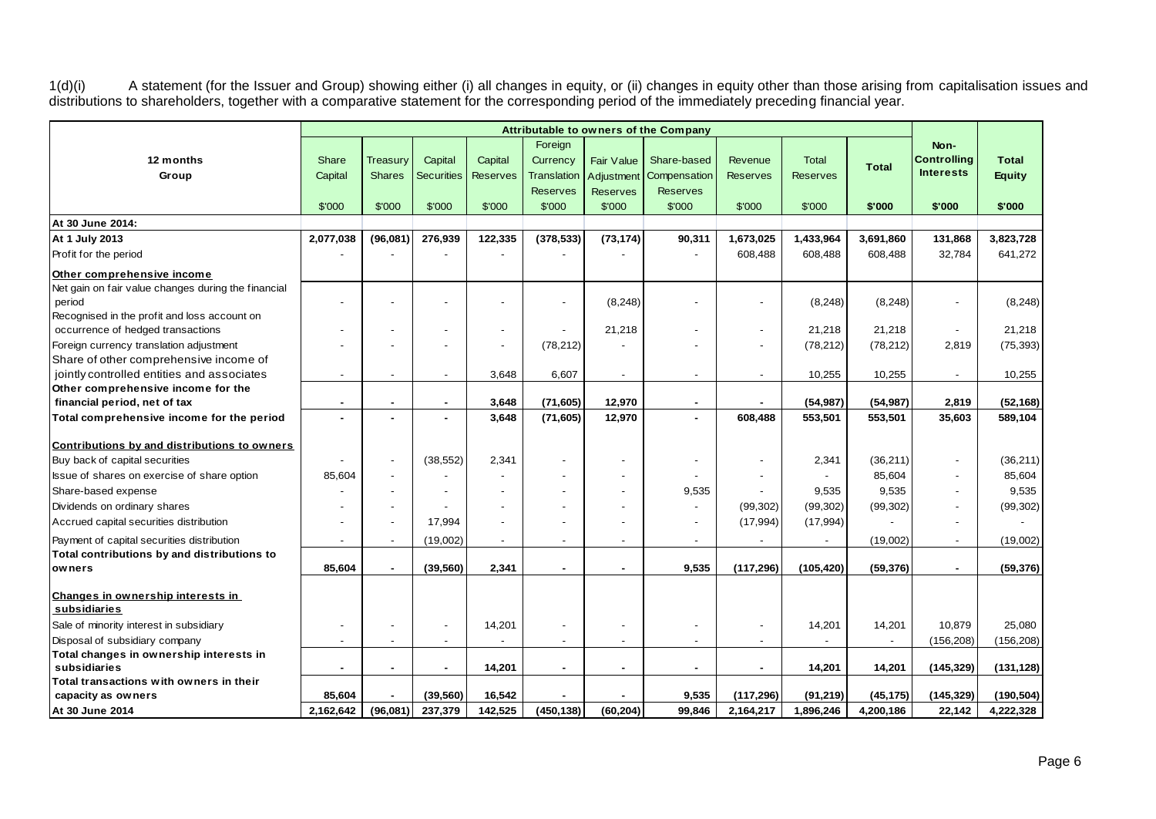1(d)(i) A statement (for the Issuer and Group) showing either (i) all changes in equity, or (ii) changes in equity other than those arising from capitalisation issues and distributions to shareholders, together with a comparative statement for the corresponding period of the immediately preceding financial year.

|                                                                    | Attributable to owners of the Company |                           |                              |                            |                                           |                          |                             |                            |                                 |              |                                                |                               |
|--------------------------------------------------------------------|---------------------------------------|---------------------------|------------------------------|----------------------------|-------------------------------------------|--------------------------|-----------------------------|----------------------------|---------------------------------|--------------|------------------------------------------------|-------------------------------|
| 12 months<br>Group                                                 | Share<br>Capital                      | Treasury<br><b>Shares</b> | Capital<br><b>Securities</b> | Capital<br><b>Reserves</b> | Foreign<br>Currency<br><b>Translation</b> | Fair Value<br>Adjustment | Share-based<br>Compensation | Revenue<br><b>Reserves</b> | <b>Total</b><br><b>Reserves</b> | <b>Total</b> | Non-<br><b>Controlling</b><br><b>Interests</b> | <b>Total</b><br><b>Equity</b> |
|                                                                    |                                       |                           |                              |                            | <b>Reserves</b>                           | <b>Reserves</b>          | <b>Reserves</b>             |                            |                                 |              |                                                |                               |
|                                                                    | \$'000                                | \$'000                    | \$'000                       | \$'000                     | \$'000                                    | \$'000                   | \$'000                      | \$'000                     | \$'000                          | \$'000       | \$'000                                         | \$'000                        |
| At 30 June 2014:                                                   |                                       |                           |                              |                            |                                           |                          |                             |                            |                                 |              |                                                |                               |
| At 1 July 2013                                                     | 2,077,038                             | (96,081)                  | 276,939                      | 122,335                    | (378, 533)                                | (73, 174)                | 90,311                      | 1,673,025                  | 1,433,964                       | 3,691,860    | 131,868                                        | 3,823,728                     |
| Profit for the period                                              |                                       |                           |                              |                            |                                           |                          |                             | 608,488                    | 608,488                         | 608,488      | 32,784                                         | 641,272                       |
| Other comprehensive income                                         |                                       |                           |                              |                            |                                           |                          |                             |                            |                                 |              |                                                |                               |
| Net gain on fair value changes during the financial                |                                       |                           |                              |                            |                                           |                          |                             |                            |                                 |              |                                                |                               |
| period                                                             |                                       |                           |                              |                            | $\overline{a}$                            | (8, 248)                 |                             |                            | (8, 248)                        | (8, 248)     | $\blacksquare$                                 | (8, 248)                      |
| Recognised in the profit and loss account on                       |                                       |                           |                              |                            |                                           |                          |                             |                            |                                 |              |                                                |                               |
| occurrence of hedged transactions                                  |                                       |                           |                              |                            |                                           | 21,218                   |                             |                            | 21,218                          | 21,218       | $\blacksquare$                                 | 21,218                        |
| Foreign currency translation adjustment                            |                                       |                           |                              |                            | (78, 212)                                 |                          |                             |                            | (78, 212)                       | (78, 212)    | 2,819                                          | (75, 393)                     |
| Share of other comprehensive income of                             |                                       |                           |                              |                            |                                           |                          |                             |                            |                                 |              |                                                |                               |
| jointly controlled entities and associates                         | $\overline{\phantom{a}}$              |                           |                              | 3,648                      | 6,607                                     | $\sim$                   |                             |                            | 10,255                          | 10,255       | $\overline{\phantom{a}}$                       | 10,255                        |
| Other comprehensive income for the<br>financial period, net of tax |                                       |                           |                              | 3,648                      | (71, 605)                                 | 12,970                   |                             | $\blacksquare$             | (54, 987)                       | (54, 987)    | 2,819                                          | (52, 168)                     |
|                                                                    |                                       |                           |                              |                            |                                           |                          |                             | 608.488                    |                                 |              |                                                |                               |
| Total comprehensive income for the period                          |                                       |                           |                              | 3,648                      | (71, 605)                                 | 12,970                   |                             |                            | 553.501                         | 553.501      | 35,603                                         | 589.104                       |
| Contributions by and distributions to owners                       |                                       |                           |                              |                            |                                           |                          |                             |                            |                                 |              |                                                |                               |
| Buy back of capital securities                                     |                                       |                           | (38, 552)                    | 2,341                      |                                           |                          |                             |                            | 2,341                           | (36, 211)    | $\overline{\phantom{a}}$                       | (36, 211)                     |
| Issue of shares on exercise of share option                        | 85,604                                |                           |                              |                            |                                           |                          |                             |                            |                                 | 85,604       | $\overline{\phantom{a}}$                       | 85,604                        |
| Share-based expense                                                |                                       |                           |                              |                            |                                           |                          | 9,535                       |                            | 9,535                           | 9,535        | $\blacksquare$                                 | 9,535                         |
| Dividends on ordinary shares                                       |                                       |                           |                              |                            |                                           |                          |                             | (99, 302)                  | (99, 302)                       | (99, 302)    | $\blacksquare$                                 | (99, 302)                     |
| Accrued capital securities distribution                            |                                       |                           | 17,994                       |                            |                                           |                          |                             | (17, 994)                  | (17, 994)                       |              | $\blacksquare$                                 |                               |
| Payment of capital securities distribution                         |                                       |                           | (19,002)                     |                            |                                           |                          |                             |                            |                                 | (19,002)     | $\overline{\phantom{a}}$                       | (19,002)                      |
| Total contributions by and distributions to                        |                                       |                           |                              |                            |                                           |                          |                             |                            |                                 |              |                                                |                               |
| owners                                                             | 85,604                                |                           | (39, 560)                    | 2,341                      | ٠                                         |                          | 9,535                       | (117, 296)                 | (105, 420)                      | (59, 376)    | $\blacksquare$                                 | (59, 376)                     |
|                                                                    |                                       |                           |                              |                            |                                           |                          |                             |                            |                                 |              |                                                |                               |
| Changes in ownership interests in                                  |                                       |                           |                              |                            |                                           |                          |                             |                            |                                 |              |                                                |                               |
| subsidiaries                                                       |                                       |                           |                              |                            |                                           |                          |                             |                            |                                 |              |                                                |                               |
| Sale of minority interest in subsidiary                            |                                       |                           |                              | 14,201                     | $\overline{a}$                            |                          |                             |                            | 14,201                          | 14,201       | 10,879                                         | 25,080                        |
| Disposal of subsidiary company                                     |                                       |                           |                              |                            | $\overline{a}$                            |                          |                             |                            |                                 |              | (156, 208)                                     | (156, 208)                    |
| Total changes in ownership interests in<br>subsidiaries            |                                       |                           |                              |                            |                                           | $\overline{a}$           |                             |                            |                                 |              |                                                |                               |
| Total transactions with owners in their                            |                                       |                           |                              | 14,201                     | ٠                                         |                          |                             |                            | 14,201                          | 14,201       | (145, 329)                                     | (131, 128)                    |
| capacity as owners                                                 | 85,604                                |                           | (39, 560)                    | 16,542                     |                                           |                          | 9,535                       | (117, 296)                 | (91, 219)                       | (45, 175)    | (145, 329)                                     | (190, 504)                    |
| At 30 June 2014                                                    | 2,162,642                             | (96,081)                  | 237,379                      | 142,525                    | (450, 138)                                | (60, 204)                | 99,846                      | 2,164,217                  | 1,896,246                       | 4,200,186    | 22,142                                         | 4,222,328                     |
|                                                                    |                                       |                           |                              |                            |                                           |                          |                             |                            |                                 |              |                                                |                               |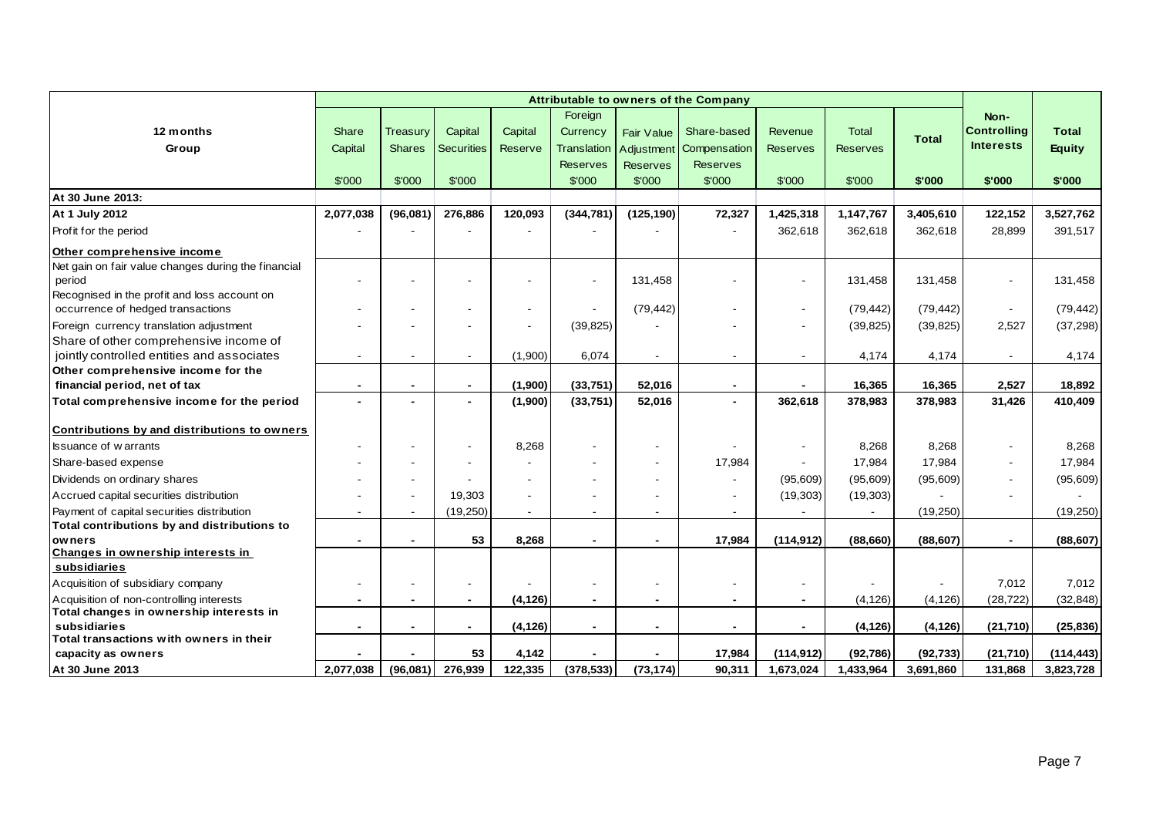|                                                         |                          | Attributable to owners of the Company |                   |                          |                 |                          |                              |                 |                 |              |                    |               |
|---------------------------------------------------------|--------------------------|---------------------------------------|-------------------|--------------------------|-----------------|--------------------------|------------------------------|-----------------|-----------------|--------------|--------------------|---------------|
|                                                         |                          |                                       |                   |                          | Foreign         |                          |                              |                 |                 |              | Non-               |               |
| 12 months                                               | Share                    | Treasury                              | Capital           | Capital                  | Currency        | Fair Value               | Share-based                  | Revenue         | <b>Total</b>    | <b>Total</b> | <b>Controlling</b> | <b>Total</b>  |
| Group                                                   | Capital                  | <b>Shares</b>                         | <b>Securities</b> | Reserve                  | Translation     | Adjustment               | Compensation                 | <b>Reserves</b> | <b>Reserves</b> |              | <b>Interests</b>   | <b>Equity</b> |
|                                                         |                          |                                       |                   |                          | <b>Reserves</b> | <b>Reserves</b>          | <b>Reserves</b>              |                 |                 |              |                    |               |
|                                                         | \$'000                   | \$'000                                | \$'000            |                          | \$'000          | \$'000                   | \$'000                       | \$'000          | \$'000          | \$'000       | \$'000             | \$'000        |
| At 30 June 2013:                                        |                          |                                       |                   |                          |                 |                          |                              |                 |                 |              |                    |               |
| At 1 July 2012                                          | 2,077,038                | (96,081)                              | 276,886           | 120,093                  | (344, 781)      | (125, 190)               | 72,327                       | 1,425,318       | 1,147,767       | 3,405,610    | 122,152            | 3,527,762     |
| Profit for the period                                   |                          |                                       |                   |                          |                 |                          |                              | 362,618         | 362,618         | 362,618      | 28,899             | 391,517       |
| Other comprehensive income                              |                          |                                       |                   |                          |                 |                          |                              |                 |                 |              |                    |               |
| Net gain on fair value changes during the financial     |                          |                                       |                   |                          |                 |                          |                              |                 |                 |              |                    |               |
| period                                                  |                          |                                       |                   |                          |                 | 131,458                  |                              |                 | 131,458         | 131,458      | $\blacksquare$     | 131,458       |
| Recognised in the profit and loss account on            |                          |                                       |                   |                          |                 |                          |                              |                 |                 |              |                    |               |
| occurrence of hedged transactions                       |                          |                                       |                   | $\overline{a}$           |                 | (79, 442)                |                              |                 | (79, 442)       | (79, 442)    | $\sim$             | (79, 442)     |
| Foreign currency translation adjustment                 |                          |                                       |                   |                          | (39, 825)       |                          |                              |                 | (39, 825)       | (39, 825)    | 2,527              | (37, 298)     |
| Share of other comprehensive income of                  |                          |                                       |                   |                          |                 |                          |                              |                 |                 |              |                    |               |
| jointly controlled entities and associates              |                          |                                       |                   | (1,900)                  | 6,074           | $\blacksquare$           | $\overline{\phantom{a}}$     |                 | 4,174           | 4,174        | $\sim$             | 4,174         |
| Other comprehensive income for the                      |                          |                                       |                   |                          |                 |                          |                              |                 |                 |              |                    |               |
| financial period, net of tax                            | $\blacksquare$           |                                       | $\blacksquare$    | (1,900)                  | (33,751)        | 52,016                   | $\blacksquare$               |                 | 16,365          | 16,365       | 2,527              | 18,892        |
| Total comprehensive income for the period               |                          |                                       |                   | (1,900)                  | (33,751)        | 52,016                   | $\blacksquare$               | 362,618         | 378,983         | 378,983      | 31,426             | 410,409       |
| Contributions by and distributions to owners            |                          |                                       |                   |                          |                 |                          |                              |                 |                 |              |                    |               |
| <b>Issuance of warrants</b>                             |                          |                                       |                   | 8,268                    |                 | $\overline{\phantom{a}}$ |                              |                 | 8,268           | 8,268        | $\sim$             | 8,268         |
| Share-based expense                                     |                          |                                       |                   |                          |                 |                          | 17,984                       |                 | 17,984          | 17,984       | $\sim$             | 17,984        |
| Dividends on ordinary shares                            |                          |                                       |                   | $\overline{\phantom{a}}$ |                 |                          | $\qquad \qquad \blacksquare$ | (95,609)        | (95,609)        | (95, 609)    | $\sim$             | (95,609)      |
| Accrued capital securities distribution                 |                          |                                       | 19,303            | $\blacksquare$           |                 |                          | $\overline{\phantom{a}}$     | (19,303)        | (19, 303)       |              |                    |               |
| Payment of capital securities distribution              | $\overline{\phantom{a}}$ |                                       | (19, 250)         | $\sim$                   |                 |                          |                              |                 |                 | (19, 250)    |                    | (19,250)      |
| Total contributions by and distributions to             |                          |                                       |                   |                          |                 |                          |                              |                 |                 |              |                    |               |
| owners                                                  | $\blacksquare$           |                                       | 53                | 8,268                    |                 | $\blacksquare$           | 17,984                       | (114, 912)      | (88, 660)       | (88, 607)    | $\blacksquare$     | (88, 607)     |
| Changes in ownership interests in                       |                          |                                       |                   |                          |                 |                          |                              |                 |                 |              |                    |               |
| subsidiaries                                            |                          |                                       |                   |                          |                 |                          |                              |                 |                 |              |                    |               |
| Acquisition of subsidiary company                       |                          |                                       |                   |                          |                 |                          |                              |                 |                 |              | 7,012              | 7,012         |
| Acquisition of non-controlling interests                |                          |                                       |                   | (4, 126)                 |                 |                          |                              |                 | (4, 126)        | (4, 126)     | (28, 722)          | (32, 848)     |
| Total changes in ownership interests in                 |                          |                                       |                   |                          |                 |                          |                              |                 |                 |              |                    |               |
| subsidiaries<br>Total transactions with owners in their | $\blacksquare$           |                                       | $\blacksquare$    | (4, 126)                 | $\blacksquare$  | $\blacksquare$           | $\overline{\phantom{a}}$     |                 | (4, 126)        | (4, 126)     | (21, 710)          | (25, 836)     |
| capacity as owners                                      |                          |                                       | 53                | 4,142                    |                 |                          | 17,984                       | (114, 912)      | (92, 786)       | (92, 733)    | (21,710)           | (114, 443)    |
| At 30 June 2013                                         | 2,077,038                | (96,081)                              | 276,939           | 122,335                  | (378, 533)      | (73, 174)                | 90,311                       | 1,673,024       | 1,433,964       | 3,691,860    | 131,868            | 3,823,728     |
|                                                         |                          |                                       |                   |                          |                 |                          |                              |                 |                 |              |                    |               |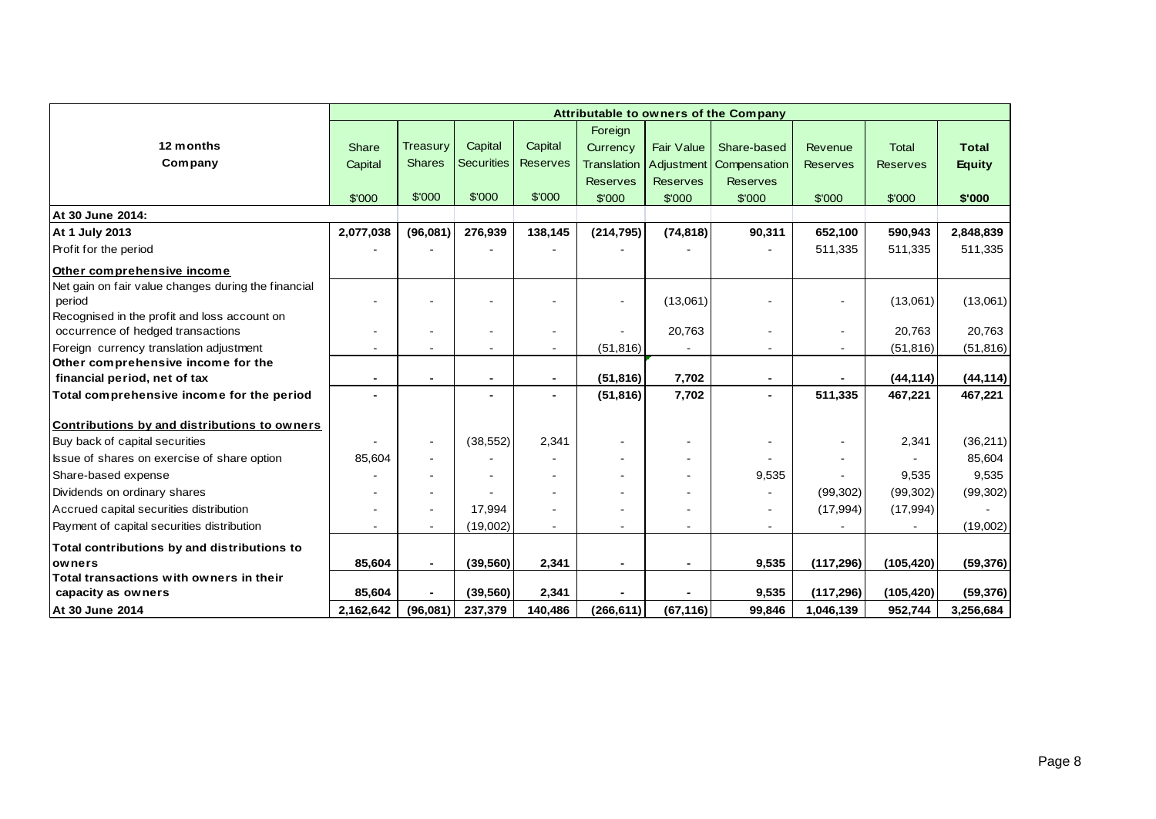|                                                     |           | Attributable to owners of the Company |                   |                 |                          |                   |                           |                          |                 |               |  |  |  |  |
|-----------------------------------------------------|-----------|---------------------------------------|-------------------|-----------------|--------------------------|-------------------|---------------------------|--------------------------|-----------------|---------------|--|--|--|--|
|                                                     |           |                                       |                   |                 | Foreign                  |                   |                           |                          |                 |               |  |  |  |  |
| 12 months                                           | Share     | <b>Treasury</b>                       | Capital           | Capital         | Currency                 | <b>Fair Value</b> | Share-based               | Revenue                  | <b>Total</b>    | <b>Total</b>  |  |  |  |  |
| Company                                             | Capital   | <b>Shares</b>                         | <b>Securities</b> | <b>Reserves</b> | <b>Translation</b>       |                   | Adjustment   Compensation | <b>Reserves</b>          | <b>Reserves</b> | <b>Equity</b> |  |  |  |  |
|                                                     |           |                                       |                   |                 | <b>Reserves</b>          | <b>Reserves</b>   | <b>Reserves</b>           |                          |                 |               |  |  |  |  |
|                                                     | \$'000    | \$'000                                | \$'000            | \$'000          | \$'000                   | \$'000            | \$'000                    | \$'000                   | \$'000          | \$'000        |  |  |  |  |
| At 30 June 2014:                                    |           |                                       |                   |                 |                          |                   |                           |                          |                 |               |  |  |  |  |
| At 1 July 2013                                      | 2,077,038 | (96,081)                              | 276,939           | 138,145         | (214, 795)               | (74, 818)         | 90,311                    | 652,100                  | 590,943         | 2,848,839     |  |  |  |  |
| Profit for the period                               |           |                                       |                   |                 |                          |                   |                           | 511,335                  | 511,335         | 511,335       |  |  |  |  |
| Other comprehensive income                          |           |                                       |                   |                 |                          |                   |                           |                          |                 |               |  |  |  |  |
| Net gain on fair value changes during the financial |           |                                       |                   |                 |                          |                   |                           |                          |                 |               |  |  |  |  |
| period                                              |           |                                       |                   |                 | $\overline{\phantom{a}}$ | (13,061)          |                           |                          | (13,061)        | (13,061)      |  |  |  |  |
| Recognised in the profit and loss account on        |           |                                       |                   |                 |                          |                   |                           |                          |                 |               |  |  |  |  |
| occurrence of hedged transactions                   | $\sim$    |                                       | $\blacksquare$    | $\overline{a}$  |                          | 20,763            | $\blacksquare$            | $\overline{\phantom{a}}$ | 20,763          | 20,763        |  |  |  |  |
| Foreign currency translation adjustment             |           |                                       |                   |                 | (51, 816)                |                   | $\overline{\phantom{a}}$  |                          | (51, 816)       | (51, 816)     |  |  |  |  |
| Other comprehensive income for the                  |           |                                       |                   |                 |                          |                   |                           |                          |                 |               |  |  |  |  |
| financial period, net of tax                        |           |                                       | $\blacksquare$    |                 | (51, 816)                | 7,702             | $\blacksquare$            |                          | (44, 114)       | (44, 114)     |  |  |  |  |
| Total comprehensive income for the period           |           |                                       |                   |                 | (51, 816)                | 7,702             | $\overline{\phantom{a}}$  | 511,335                  | 467,221         | 467,221       |  |  |  |  |
| Contributions by and distributions to owners        |           |                                       |                   |                 |                          |                   |                           |                          |                 |               |  |  |  |  |
| Buy back of capital securities                      |           | $\blacksquare$                        | (38, 552)         | 2,341           | $\overline{\phantom{a}}$ | $\blacksquare$    |                           |                          | 2,341           | (36, 211)     |  |  |  |  |
| Issue of shares on exercise of share option         | 85,604    |                                       |                   |                 |                          |                   |                           |                          |                 | 85,604        |  |  |  |  |
| Share-based expense                                 |           |                                       |                   |                 |                          |                   | 9,535                     |                          | 9,535           | 9,535         |  |  |  |  |
| Dividends on ordinary shares                        |           |                                       |                   |                 |                          |                   |                           | (99, 302)                | (99, 302)       | (99, 302)     |  |  |  |  |
| Accrued capital securities distribution             |           |                                       | 17,994            |                 |                          |                   | $\blacksquare$            | (17, 994)                | (17, 994)       |               |  |  |  |  |
| Payment of capital securities distribution          |           |                                       | (19,002)          |                 |                          |                   |                           |                          |                 | (19,002)      |  |  |  |  |
| Total contributions by and distributions to         |           |                                       |                   |                 |                          |                   |                           |                          |                 |               |  |  |  |  |
| owners                                              | 85,604    |                                       | (39, 560)         | 2,341           | $\blacksquare$           |                   | 9,535                     | (117, 296)               | (105, 420)      | (59, 376)     |  |  |  |  |
| Total transactions with owners in their             |           |                                       |                   |                 |                          |                   |                           |                          |                 |               |  |  |  |  |
| capacity as owners                                  | 85,604    |                                       | (39, 560)         | 2,341           |                          |                   | 9,535                     | (117, 296)               | (105, 420)      | (59, 376)     |  |  |  |  |
| At 30 June 2014                                     | 2,162,642 | (96,081)                              | 237,379           | 140,486         | (266, 611)               | (67, 116)         | 99,846                    | 1,046,139                | 952,744         | 3,256,684     |  |  |  |  |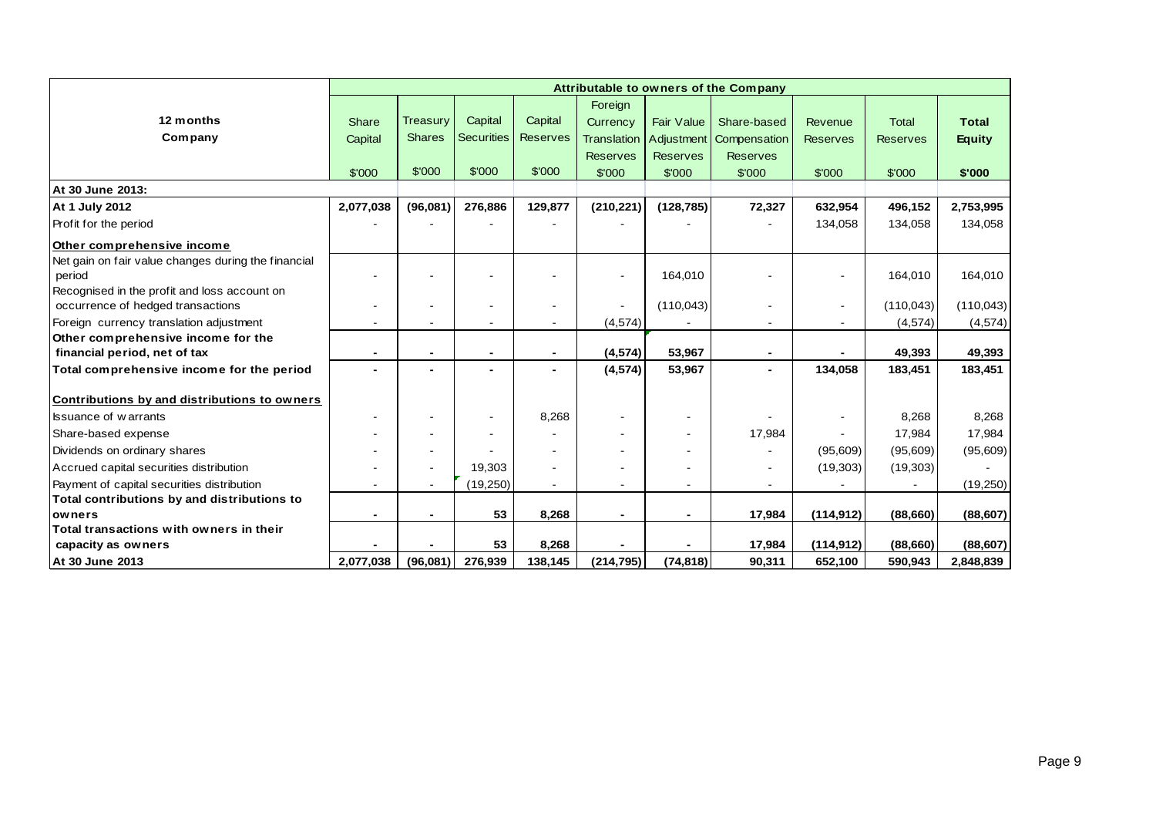|                                                     |           | Attributable to owners of the Company |                          |                 |                    |                   |                          |                 |                 |               |  |  |  |  |
|-----------------------------------------------------|-----------|---------------------------------------|--------------------------|-----------------|--------------------|-------------------|--------------------------|-----------------|-----------------|---------------|--|--|--|--|
|                                                     |           |                                       |                          |                 | Foreign            |                   |                          |                 |                 |               |  |  |  |  |
| 12 months                                           | Share     | Treasury                              | Capital                  | Capital         | Currency           | <b>Fair Value</b> | Share-based              | Revenue         | <b>Total</b>    | <b>Total</b>  |  |  |  |  |
| Company                                             | Capital   | <b>Shares</b>                         | <b>Securities</b>        | <b>Reserves</b> | <b>Translation</b> | Adjustment        | Compensation             | <b>Reserves</b> | <b>Reserves</b> | <b>Equity</b> |  |  |  |  |
|                                                     |           |                                       |                          |                 | <b>Reserves</b>    | <b>Reserves</b>   | <b>Reserves</b>          |                 |                 |               |  |  |  |  |
|                                                     | \$'000    | \$'000                                | \$'000                   | \$'000          | \$'000             | \$'000            | \$'000                   | \$'000          | \$'000          | \$'000        |  |  |  |  |
| At 30 June 2013:                                    |           |                                       |                          |                 |                    |                   |                          |                 |                 |               |  |  |  |  |
| <b>At 1 July 2012</b>                               | 2,077,038 | (96,081)                              | 276,886                  | 129,877         | (210, 221)         | (128, 785)        | 72,327                   | 632,954         | 496,152         | 2,753,995     |  |  |  |  |
| Profit for the period                               |           |                                       |                          |                 |                    |                   |                          | 134,058         | 134,058         | 134,058       |  |  |  |  |
| Other comprehensive income                          |           |                                       |                          |                 |                    |                   |                          |                 |                 |               |  |  |  |  |
| Net gain on fair value changes during the financial |           |                                       |                          |                 |                    |                   |                          |                 |                 |               |  |  |  |  |
| period                                              |           |                                       |                          |                 |                    | 164,010           |                          |                 | 164,010         | 164,010       |  |  |  |  |
| Recognised in the profit and loss account on        |           |                                       |                          |                 |                    |                   |                          |                 |                 |               |  |  |  |  |
| occurrence of hedged transactions                   |           |                                       | $\overline{\phantom{a}}$ |                 |                    | (110, 043)        |                          |                 | (110, 043)      | (110, 043)    |  |  |  |  |
| Foreign currency translation adjustment             |           |                                       | $\blacksquare$           |                 | (4, 574)           |                   | $\overline{\phantom{a}}$ |                 | (4, 574)        | (4, 574)      |  |  |  |  |
| Other comprehensive income for the                  |           |                                       |                          |                 |                    |                   |                          |                 |                 |               |  |  |  |  |
| financial period, net of tax                        | ٠         |                                       | $\blacksquare$           | $\blacksquare$  | (4, 574)           | 53,967            | $\blacksquare$           |                 | 49,393          | 49,393        |  |  |  |  |
| Total comprehensive income for the period           |           |                                       | $\blacksquare$           |                 | (4, 574)           | 53,967            | $\overline{\phantom{0}}$ | 134,058         | 183,451         | 183,451       |  |  |  |  |
| Contributions by and distributions to owners        |           |                                       |                          |                 |                    |                   |                          |                 |                 |               |  |  |  |  |
| <b>Issuance of warrants</b>                         | $\sim$    |                                       | $\blacksquare$           | 8,268           |                    |                   |                          |                 | 8,268           | 8,268         |  |  |  |  |
| Share-based expense                                 |           |                                       |                          |                 |                    |                   | 17,984                   |                 | 17,984          | 17,984        |  |  |  |  |
| Dividends on ordinary shares                        |           |                                       |                          |                 |                    |                   |                          | (95,609)        | (95,609)        | (95,609)      |  |  |  |  |
| Accrued capital securities distribution             |           |                                       | 19,303                   |                 |                    |                   |                          | (19,303)        | (19, 303)       |               |  |  |  |  |
| Payment of capital securities distribution          |           |                                       | (19, 250)                |                 |                    |                   |                          |                 |                 | (19,250)      |  |  |  |  |
| Total contributions by and distributions to         |           |                                       |                          |                 |                    |                   |                          |                 |                 |               |  |  |  |  |
| owners                                              |           |                                       | 53                       | 8,268           |                    |                   | 17.984                   | (114, 912)      | (88,660)        | (88, 607)     |  |  |  |  |
| Total transactions with owners in their             |           |                                       |                          |                 |                    |                   |                          |                 |                 |               |  |  |  |  |
| capacity as owners                                  |           |                                       | 53                       | 8,268           |                    |                   | 17,984                   | (114, 912)      | (88, 660)       | (88, 607)     |  |  |  |  |
| At 30 June 2013                                     | 2,077,038 | (96,081)                              | 276,939                  | 138,145         | (214, 795)         | (74, 818)         | 90,311                   | 652,100         | 590,943         | 2,848,839     |  |  |  |  |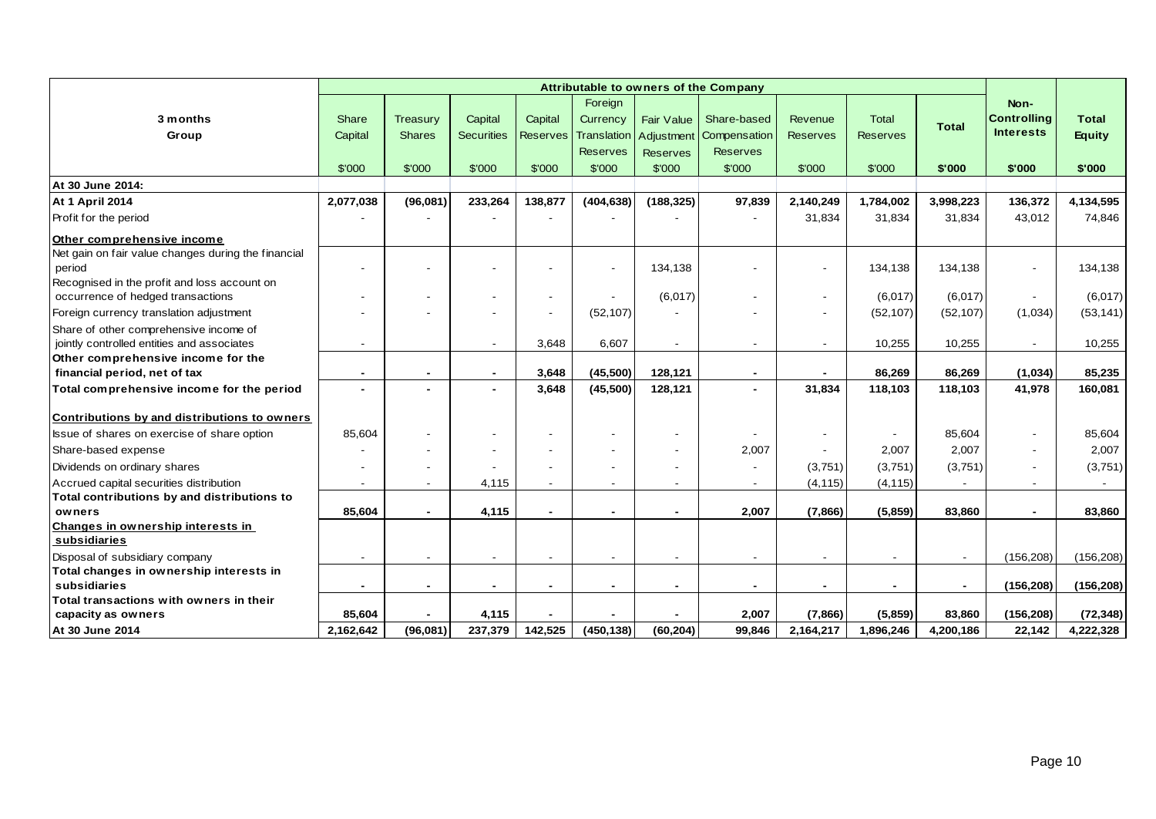|                                                     | Attributable to owners of the Company |                          |                   |                 |                          |                          |                 |                          |                 |              |                          |               |
|-----------------------------------------------------|---------------------------------------|--------------------------|-------------------|-----------------|--------------------------|--------------------------|-----------------|--------------------------|-----------------|--------------|--------------------------|---------------|
|                                                     |                                       |                          |                   |                 | Foreign                  |                          |                 |                          |                 |              | Non-                     |               |
| 3 months                                            | Share                                 | <b>Treasury</b>          | Capital           | Capital         | Currency                 | <b>Fair Value</b>        | Share-based     | Revenue                  | <b>Total</b>    | <b>Total</b> | <b>Controlling</b>       | <b>Total</b>  |
| Group                                               | Capital                               | <b>Shares</b>            | <b>Securities</b> | <b>Reserves</b> | Translation              | Adjustment               | Compensation    | <b>Reserves</b>          | <b>Reserves</b> |              | <b>Interests</b>         | <b>Equity</b> |
|                                                     |                                       |                          |                   |                 | <b>Reserves</b>          | <b>Reserves</b>          | <b>Reserves</b> |                          |                 |              |                          |               |
|                                                     | \$'000                                | \$'000                   | \$'000            | \$'000          | \$'000                   | \$'000                   | \$'000          | \$'000                   | \$'000          | \$'000       | \$'000                   | \$'000        |
| At 30 June 2014:                                    |                                       |                          |                   |                 |                          |                          |                 |                          |                 |              |                          |               |
| <b>At 1 April 2014</b>                              | 2,077,038                             | (96,081)                 | 233,264           | 138,877         | (404, 638)               | (188, 325)               | 97,839          | 2,140,249                | 1,784,002       | 3,998,223    | 136,372                  | 4,134,595     |
| Profit for the period                               |                                       |                          |                   |                 |                          |                          |                 | 31,834                   | 31,834          | 31,834       | 43,012                   | 74,846        |
| Other comprehensive income                          |                                       |                          |                   |                 |                          |                          |                 |                          |                 |              |                          |               |
| Net gain on fair value changes during the financial |                                       |                          |                   |                 |                          |                          |                 |                          |                 |              |                          |               |
| period                                              |                                       |                          |                   |                 | $\overline{\phantom{a}}$ | 134.138                  |                 | $\overline{\phantom{0}}$ | 134,138         | 134,138      | $\overline{\phantom{0}}$ | 134,138       |
| Recognised in the profit and loss account on        |                                       |                          |                   |                 |                          |                          |                 |                          |                 |              |                          |               |
| occurrence of hedged transactions                   |                                       | $\overline{\phantom{a}}$ |                   |                 |                          | (6,017)                  |                 | $\overline{\phantom{a}}$ | (6,017)         | (6,017)      | $\sim$                   | (6,017)       |
| Foreign currency translation adjustment             |                                       |                          |                   |                 | (52, 107)                |                          |                 |                          | (52, 107)       | (52, 107)    | (1,034)                  | (53, 141)     |
| Share of other comprehensive income of              |                                       |                          |                   |                 |                          |                          |                 |                          |                 |              |                          |               |
| jointly controlled entities and associates          |                                       |                          | $\blacksquare$    | 3,648           | 6,607                    |                          |                 | $\blacksquare$           | 10,255          | 10,255       | $\blacksquare$           | 10,255        |
| Other comprehensive income for the                  |                                       |                          |                   |                 |                          |                          |                 |                          |                 |              |                          |               |
| financial period, net of tax                        |                                       | $\blacksquare$           | $\blacksquare$    | 3,648           | (45,500)                 | 128,121                  | $\blacksquare$  |                          | 86,269          | 86,269       | (1,034)                  | 85,235        |
| Total comprehensive income for the period           |                                       | $\blacksquare$           |                   | 3,648           | (45,500)                 | 128,121                  |                 | 31,834                   | 118,103         | 118,103      | 41,978                   | 160,081       |
| Contributions by and distributions to owners        |                                       |                          |                   |                 |                          |                          |                 |                          |                 |              |                          |               |
| Issue of shares on exercise of share option         | 85,604                                |                          |                   |                 |                          |                          |                 |                          |                 | 85,604       | $\blacksquare$           | 85,604        |
| Share-based expense                                 |                                       |                          |                   |                 |                          |                          | 2,007           |                          | 2,007           | 2,007        | $\overline{\phantom{a}}$ | 2,007         |
| Dividends on ordinary shares                        |                                       |                          |                   |                 |                          |                          |                 | (3,751)                  | (3,751)         | (3,751)      |                          | (3,751)       |
| Accrued capital securities distribution             |                                       |                          | 4,115             |                 |                          |                          |                 | (4, 115)                 | (4, 115)        |              |                          |               |
| Total contributions by and distributions to         |                                       |                          |                   |                 |                          |                          |                 |                          |                 |              |                          |               |
| owners                                              | 85,604                                | $\blacksquare$           | 4,115             |                 |                          |                          | 2,007           | (7,866)                  | (5,859)         | 83,860       | $\blacksquare$           | 83,860        |
| Changes in ownership interests in                   |                                       |                          |                   |                 |                          |                          |                 |                          |                 |              |                          |               |
| subsidiaries                                        |                                       |                          |                   |                 |                          |                          |                 |                          |                 |              |                          |               |
| Disposal of subsidiary company                      |                                       | $\blacksquare$           |                   |                 | $\blacksquare$           |                          |                 | $\overline{\phantom{a}}$ |                 |              | (156, 208)               | (156, 208)    |
| Total changes in ownership interests in             |                                       |                          |                   |                 |                          |                          |                 |                          |                 |              |                          |               |
| subsidiaries                                        |                                       | $\blacksquare$           |                   |                 | $\overline{\phantom{0}}$ | $\overline{\phantom{0}}$ | $\blacksquare$  | $\blacksquare$           | $\blacksquare$  |              | (156, 208)               | (156, 208)    |
| Total transactions with owners in their             |                                       |                          |                   |                 |                          |                          |                 |                          |                 |              |                          |               |
| capacity as owners                                  | 85,604                                |                          | 4,115             |                 |                          |                          | 2,007           | (7,866)                  | (5,859)         | 83,860       | (156, 208)               | (72, 348)     |
| At 30 June 2014                                     | 2,162,642                             | (96,081)                 | 237,379           | 142,525         | (450, 138)               | (60, 204)                | 99,846          | 2,164,217                | 1,896,246       | 4,200,186    | 22,142                   | 4,222,328     |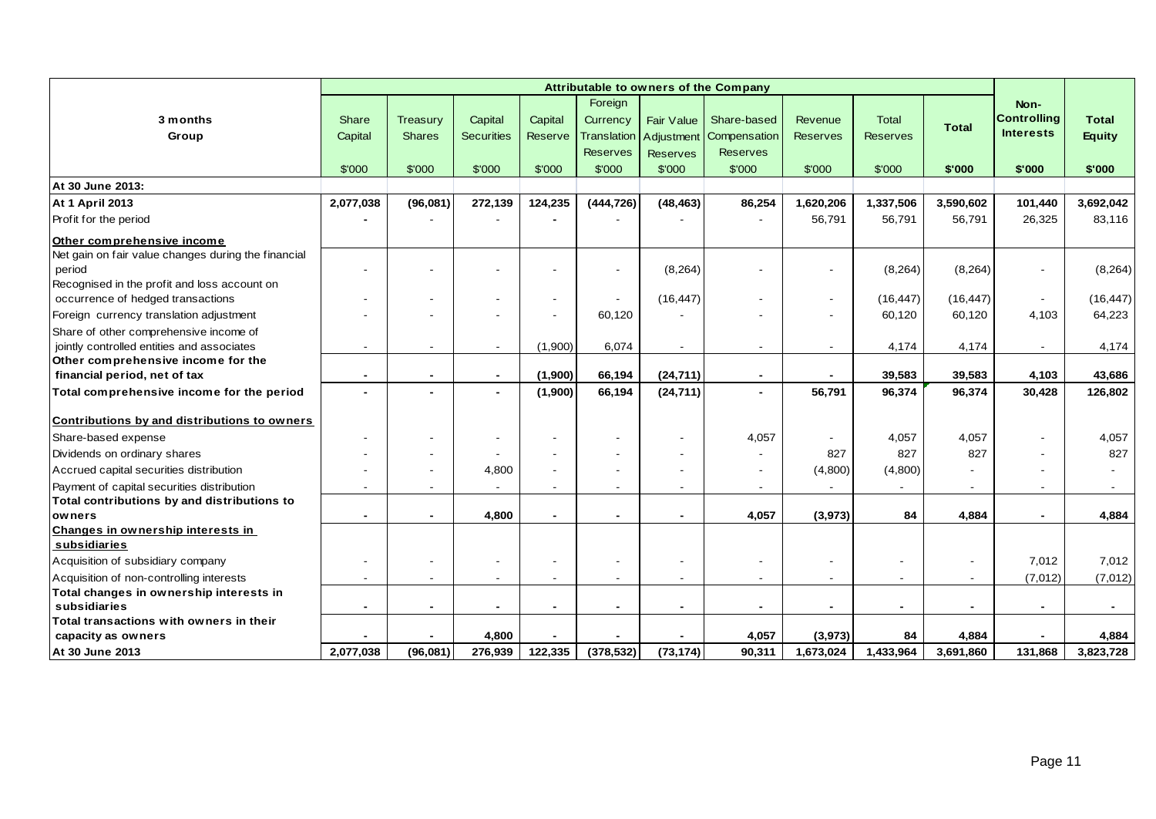|                                                                                                               | Attributable to owners of the Company |                           |                              |                           |                                           |                 |                                        |                            |                                 |              |                                                |                               |
|---------------------------------------------------------------------------------------------------------------|---------------------------------------|---------------------------|------------------------------|---------------------------|-------------------------------------------|-----------------|----------------------------------------|----------------------------|---------------------------------|--------------|------------------------------------------------|-------------------------------|
| 3 months<br>Group                                                                                             | <b>Share</b><br>Capital               | Treasury<br><b>Shares</b> | Capital<br><b>Securities</b> | Capital<br><b>Reserve</b> | Foreign<br>Currency<br><b>Translation</b> | Fair Value      | Share-based<br>Adjustment Compensation | Revenue<br><b>Reserves</b> | <b>Total</b><br><b>Reserves</b> | <b>Total</b> | Non-<br><b>Controlling</b><br><b>Interests</b> | <b>Total</b><br><b>Equity</b> |
|                                                                                                               |                                       |                           |                              |                           | <b>Reserves</b>                           | <b>Reserves</b> | <b>Reserves</b>                        |                            |                                 |              |                                                |                               |
|                                                                                                               | \$'000                                | \$'000                    | \$'000                       | \$'000                    | \$'000                                    | \$'000          | \$'000                                 | \$'000                     | \$'000                          | \$'000       | \$'000                                         | \$'000                        |
| At 30 June 2013:                                                                                              |                                       |                           |                              |                           |                                           |                 |                                        |                            |                                 |              |                                                |                               |
| <b>At 1 April 2013</b>                                                                                        | 2,077,038                             | (96,081)                  | 272,139                      | 124,235                   | (444, 726)                                | (48, 463)       | 86,254                                 | 1,620,206                  | 1,337,506                       | 3,590,602    | 101,440                                        | 3,692,042                     |
| Profit for the period                                                                                         |                                       |                           |                              |                           |                                           |                 |                                        | 56,791                     | 56,791                          | 56,791       | 26,325                                         | 83,116                        |
| Other comprehensive income                                                                                    |                                       |                           |                              |                           |                                           |                 |                                        |                            |                                 |              |                                                |                               |
| Net gain on fair value changes during the financial<br>period<br>Recognised in the profit and loss account on |                                       |                           |                              |                           |                                           | (8, 264)        |                                        |                            | (8, 264)                        | (8, 264)     | $\sim$                                         | (8, 264)                      |
| occurrence of hedged transactions                                                                             |                                       |                           |                              |                           | $\blacksquare$                            | (16, 447)       |                                        |                            | (16, 447)                       | (16, 447)    | $\overline{\phantom{a}}$                       | (16, 447)                     |
| Foreign currency translation adjustment                                                                       |                                       |                           |                              |                           | 60,120                                    |                 |                                        |                            | 60,120                          | 60,120       | 4,103                                          | 64,223                        |
| Share of other comprehensive income of<br>jointly controlled entities and associates                          |                                       | $\blacksquare$            | $\blacksquare$               | (1,900)                   | 6,074                                     |                 | $\overline{\phantom{a}}$               |                            | 4,174                           | 4,174        | $\overline{\phantom{a}}$                       | 4,174                         |
| Other comprehensive income for the                                                                            |                                       |                           |                              |                           |                                           |                 |                                        |                            |                                 |              |                                                |                               |
| financial period, net of tax                                                                                  |                                       |                           | $\blacksquare$               | (1,900)                   | 66,194                                    | (24, 711)       |                                        |                            | 39,583                          | 39,583       | 4,103                                          | 43,686                        |
| Total comprehensive income for the period                                                                     |                                       | $\blacksquare$            | $\blacksquare$               | (1,900)                   | 66,194                                    | (24, 711)       | $\overline{\phantom{0}}$               | 56,791                     | 96,374                          | 96,374       | 30,428                                         | 126,802                       |
| Contributions by and distributions to owners                                                                  |                                       |                           |                              |                           |                                           |                 |                                        |                            |                                 |              |                                                |                               |
| Share-based expense                                                                                           |                                       |                           |                              |                           |                                           |                 | 4,057                                  |                            | 4,057                           | 4,057        | $\overline{\phantom{a}}$                       | 4,057                         |
| Dividends on ordinary shares                                                                                  |                                       |                           |                              |                           |                                           |                 |                                        | 827                        | 827                             | 827          |                                                | 827                           |
| Accrued capital securities distribution                                                                       |                                       | $\overline{\phantom{a}}$  | 4,800                        |                           |                                           |                 |                                        | (4,800)                    | (4,800)                         |              |                                                |                               |
| Payment of capital securities distribution                                                                    |                                       | $\blacksquare$            |                              |                           | $\overline{\phantom{a}}$                  |                 |                                        |                            |                                 |              |                                                |                               |
| Total contributions by and distributions to                                                                   |                                       |                           |                              |                           |                                           |                 |                                        |                            |                                 |              |                                                |                               |
| owners                                                                                                        |                                       | $\blacksquare$            | 4,800                        |                           |                                           |                 | 4,057                                  | (3,973)                    | 84                              | 4,884        | $\blacksquare$                                 | 4,884                         |
| Changes in ownership interests in<br>subsidiaries                                                             |                                       |                           |                              |                           |                                           |                 |                                        |                            |                                 |              |                                                |                               |
| Acquisition of subsidiary company                                                                             |                                       |                           |                              |                           |                                           |                 |                                        |                            |                                 |              | 7,012                                          | 7,012                         |
| Acquisition of non-controlling interests                                                                      |                                       |                           | $\overline{\phantom{0}}$     |                           |                                           |                 |                                        |                            |                                 |              | (7,012)                                        | (7,012)                       |
| Total changes in ownership interests in                                                                       |                                       |                           |                              |                           |                                           |                 |                                        |                            |                                 |              |                                                |                               |
| subsidiaries                                                                                                  |                                       | $\blacksquare$            |                              |                           |                                           |                 |                                        |                            | $\blacksquare$                  |              | $\overline{\phantom{0}}$                       |                               |
| Total transactions with owners in their                                                                       |                                       |                           |                              |                           |                                           |                 |                                        |                            |                                 |              |                                                |                               |
| capacity as owners                                                                                            |                                       |                           | 4,800                        |                           |                                           |                 | 4,057                                  | (3,973)                    | 84                              | 4,884        |                                                | 4,884                         |
| At 30 June 2013                                                                                               | 2,077,038                             | (96,081)                  | 276,939                      | 122,335                   | (378, 532)                                | (73, 174)       | 90,311                                 | 1,673,024                  | 1,433,964                       | 3,691,860    | 131,868                                        | 3,823,728                     |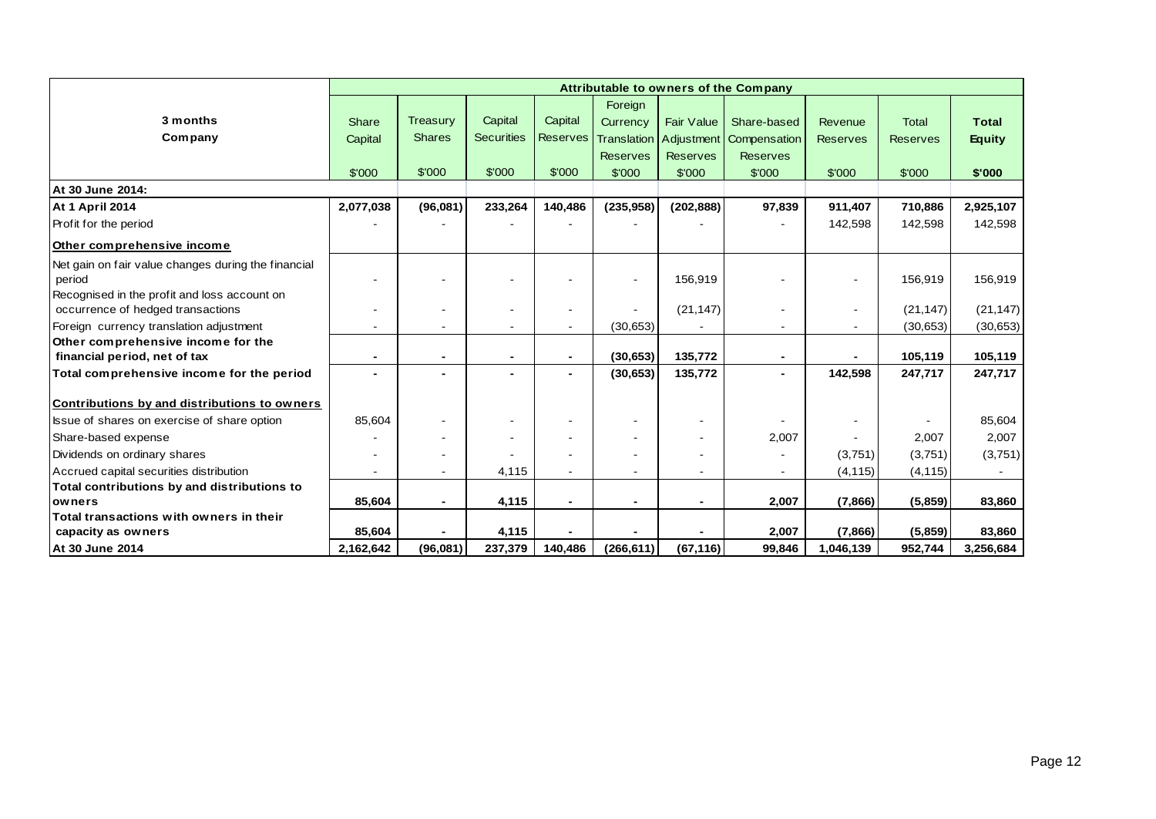|                                                     |                |                 |                   |                 |                 |                   | Attributable to owners of the Company |                 |                 |               |
|-----------------------------------------------------|----------------|-----------------|-------------------|-----------------|-----------------|-------------------|---------------------------------------|-----------------|-----------------|---------------|
|                                                     |                |                 |                   |                 | Foreign         |                   |                                       |                 |                 |               |
| 3 months                                            | Share          | <b>Treasury</b> | Capital           | Capital         | Currency        | <b>Fair Value</b> | Share-based                           | Revenue         | <b>Total</b>    | <b>Total</b>  |
| Company                                             | Capital        | <b>Shares</b>   | <b>Securities</b> | <b>Reserves</b> |                 |                   | Translation Adjustment Compensation   | <b>Reserves</b> | <b>Reserves</b> | <b>Equity</b> |
|                                                     |                |                 |                   |                 | <b>Reserves</b> | <b>Reserves</b>   | <b>Reserves</b>                       |                 |                 |               |
|                                                     | \$'000         | \$'000          | \$'000            | \$'000          | \$'000          | \$'000            | \$'000                                | \$'000          | \$'000          | \$'000        |
| At 30 June 2014:                                    |                |                 |                   |                 |                 |                   |                                       |                 |                 |               |
| <b>At 1 April 2014</b>                              | 2,077,038      | (96,081)        | 233,264           | 140,486         | (235, 958)      | (202, 888)        | 97,839                                | 911,407         | 710,886         | 2,925,107     |
| Profit for the period                               |                |                 |                   |                 |                 |                   |                                       | 142,598         | 142,598         | 142,598       |
| Other comprehensive income                          |                |                 |                   |                 |                 |                   |                                       |                 |                 |               |
| Net gain on fair value changes during the financial |                |                 |                   |                 |                 |                   |                                       |                 |                 |               |
| period                                              |                |                 |                   |                 |                 | 156,919           |                                       |                 | 156,919         | 156,919       |
| Recognised in the profit and loss account on        |                |                 |                   |                 |                 |                   |                                       |                 |                 |               |
| occurrence of hedged transactions                   |                |                 |                   |                 |                 | (21, 147)         |                                       |                 | (21, 147)       | (21, 147)     |
| Foreign currency translation adjustment             |                |                 |                   |                 | (30,653)        |                   |                                       |                 | (30, 653)       | (30, 653)     |
| Other comprehensive income for the                  |                |                 |                   |                 |                 |                   |                                       |                 |                 |               |
| financial period, net of tax                        | $\blacksquare$ | $\blacksquare$  |                   | $\blacksquare$  | (30, 653)       | 135,772           | $\blacksquare$                        |                 | 105,119         | 105,119       |
| Total comprehensive income for the period           |                |                 |                   | -               | (30, 653)       | 135,772           | ٠                                     | 142,598         | 247,717         | 247,717       |
| Contributions by and distributions to owners        |                |                 |                   |                 |                 |                   |                                       |                 |                 |               |
| Issue of shares on exercise of share option         | 85,604         |                 |                   |                 |                 |                   |                                       |                 |                 | 85,604        |
| Share-based expense                                 |                |                 |                   |                 |                 |                   | 2,007                                 |                 | 2,007           | 2,007         |
| Dividends on ordinary shares                        |                |                 |                   |                 |                 |                   |                                       | (3,751)         | (3,751)         | (3,751)       |
| Accrued capital securities distribution             |                | $\sim$          | 4,115             |                 |                 |                   | $\overline{\phantom{a}}$              | (4, 115)        | (4, 115)        |               |
| Total contributions by and distributions to         |                |                 |                   |                 |                 |                   |                                       |                 |                 |               |
| owners                                              | 85,604         | $\blacksquare$  | 4,115             | $\blacksquare$  |                 | $\blacksquare$    | 2,007                                 | (7,866)         | (5,859)         | 83,860        |
| Total transactions with owners in their             |                |                 |                   |                 |                 |                   |                                       |                 |                 |               |
| capacity as owners                                  | 85,604         |                 | 4,115             |                 |                 |                   | 2,007                                 | (7,866)         | (5,859)         | 83,860        |
| At 30 June 2014                                     | 2,162,642      | (96,081)        | 237,379           | 140,486         | (266, 611)      | (67, 116)         | 99,846                                | 1,046,139       | 952,744         | 3,256,684     |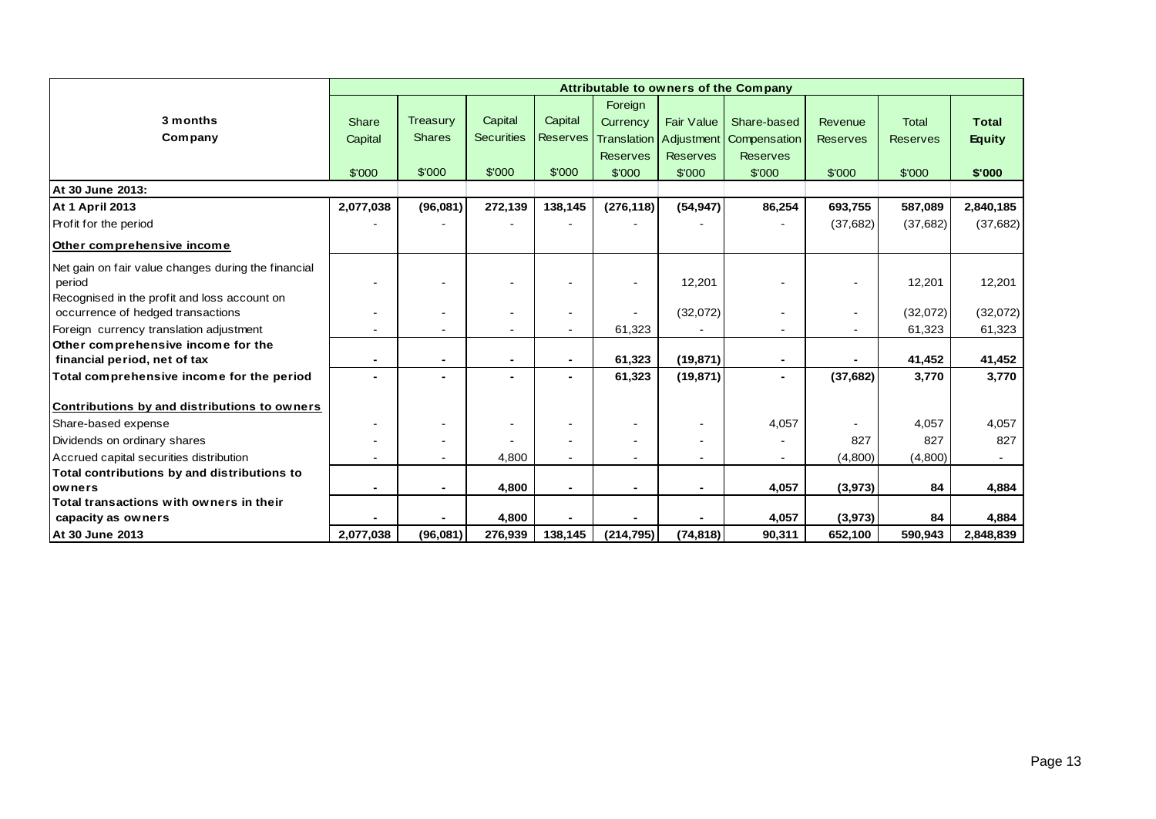|                                                     |                |                          |                   |                          |                          |                                 | Attributable to owners of the Company |                 |                 |               |
|-----------------------------------------------------|----------------|--------------------------|-------------------|--------------------------|--------------------------|---------------------------------|---------------------------------------|-----------------|-----------------|---------------|
|                                                     |                |                          |                   |                          | Foreign                  |                                 |                                       |                 |                 |               |
| 3 months                                            | Share          | <b>Treasury</b>          | Capital           | Capital                  | Currency                 | <b>Fair Value</b>               | Share-based                           | Revenue         | <b>Total</b>    | <b>Total</b>  |
| Company                                             | Capital        | <b>Shares</b>            | <b>Securities</b> | <b>Reserves</b>          |                          | <b>Translation   Adjustment</b> | Compensation                          | <b>Reserves</b> | <b>Reserves</b> | <b>Equity</b> |
|                                                     |                |                          |                   |                          | <b>Reserves</b>          | <b>Reserves</b>                 | <b>Reserves</b>                       |                 |                 |               |
|                                                     | \$'000         | \$'000                   | \$'000            | \$'000                   | \$'000                   | \$'000                          | \$'000                                | \$'000          | \$'000          | \$'000        |
| At 30 June 2013:                                    |                |                          |                   |                          |                          |                                 |                                       |                 |                 |               |
| <b>At 1 April 2013</b>                              | 2,077,038      | (96,081)                 | 272,139           | 138,145                  | (276, 118)               | (54, 947)                       | 86,254                                | 693,755         | 587,089         | 2,840,185     |
| Profit for the period                               |                |                          |                   |                          |                          |                                 |                                       | (37,682)        | (37,682)        | (37,682)      |
| Other comprehensive income                          |                |                          |                   |                          |                          |                                 |                                       |                 |                 |               |
| Net gain on fair value changes during the financial |                |                          |                   |                          |                          |                                 |                                       |                 |                 |               |
| period                                              |                |                          |                   |                          |                          | 12,201                          |                                       |                 | 12,201          | 12,201        |
| Recognised in the profit and loss account on        |                |                          |                   |                          |                          |                                 |                                       |                 |                 |               |
| occurrence of hedged transactions                   |                |                          |                   |                          |                          | (32,072)                        |                                       |                 | (32,072)        | (32,072)      |
| Foreign currency translation adjustment             |                |                          |                   |                          | 61,323                   |                                 | $\blacksquare$                        |                 | 61,323          | 61,323        |
| Other comprehensive income for the                  |                |                          |                   |                          |                          |                                 |                                       |                 |                 |               |
| financial period, net of tax                        | $\blacksquare$ | $\blacksquare$           |                   | $\blacksquare$           | 61,323                   | (19, 871)                       | $\blacksquare$                        |                 | 41,452          | 41,452        |
| Total comprehensive income for the period           |                |                          |                   |                          | 61,323                   | (19, 871)                       | ٠                                     | (37, 682)       | 3,770           | 3,770         |
| Contributions by and distributions to owners        |                |                          |                   |                          |                          |                                 |                                       |                 |                 |               |
| Share-based expense                                 |                |                          |                   |                          |                          |                                 | 4,057                                 |                 | 4,057           | 4,057         |
| Dividends on ordinary shares                        |                |                          |                   | $\blacksquare$           | $\overline{\phantom{a}}$ | $\blacksquare$                  |                                       | 827             | 827             | 827           |
| Accrued capital securities distribution             |                | $\overline{\phantom{a}}$ | 4,800             |                          | $\blacksquare$           | $\blacksquare$                  | $\overline{\phantom{a}}$              | (4,800)         | (4,800)         |               |
| Total contributions by and distributions to         |                |                          |                   |                          |                          |                                 |                                       |                 |                 |               |
| owners                                              |                | $\blacksquare$           | 4,800             | $\overline{\phantom{0}}$ | $\blacksquare$           | $\blacksquare$                  | 4,057                                 | (3,973)         | 84              | 4,884         |
| Total transactions with owners in their             |                |                          |                   |                          |                          |                                 |                                       |                 |                 |               |
| capacity as owners                                  |                |                          | 4,800             |                          |                          |                                 | 4,057                                 | (3, 973)        | 84              | 4,884         |
| At 30 June 2013                                     | 2.077.038      | (96,081)                 | 276,939           | 138,145                  | (214, 795)               | (74, 818)                       | 90,311                                | 652,100         | 590,943         | 2,848,839     |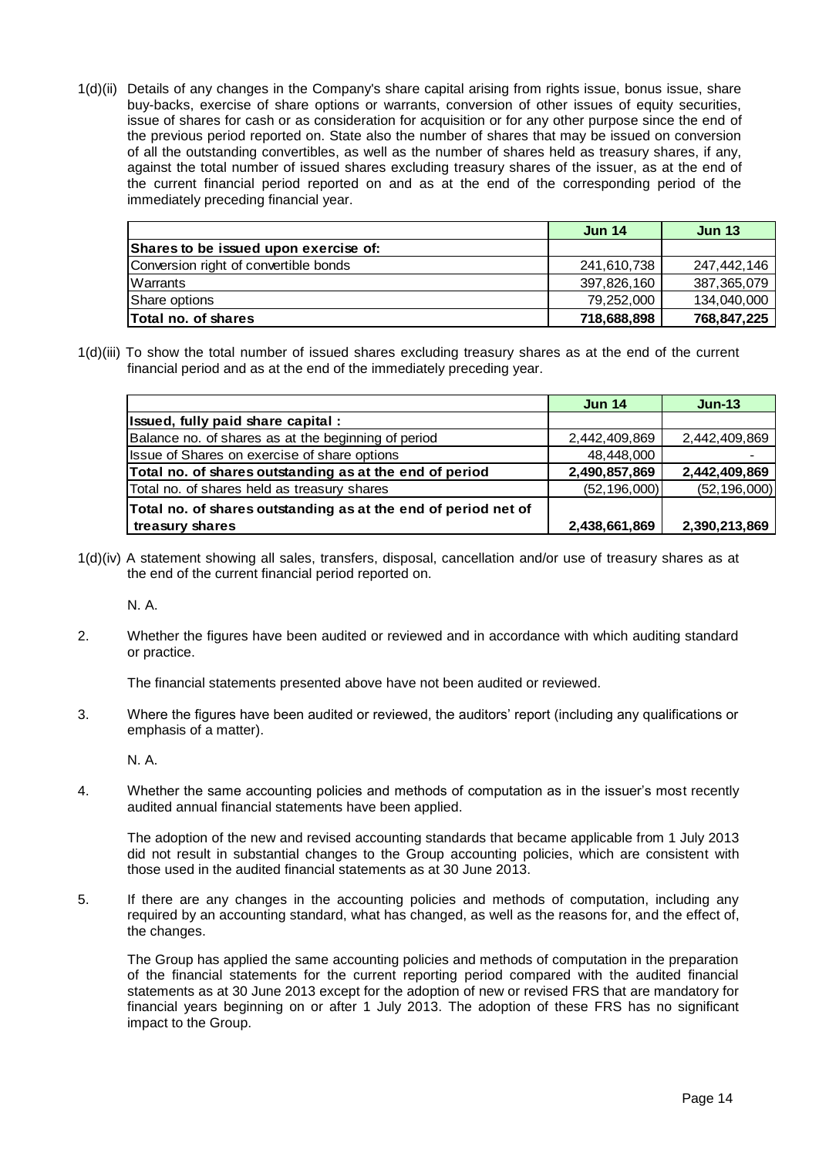1(d)(ii) Details of any changes in the Company's share capital arising from rights issue, bonus issue, share buy-backs, exercise of share options or warrants, conversion of other issues of equity securities, issue of shares for cash or as consideration for acquisition or for any other purpose since the end of the previous period reported on. State also the number of shares that may be issued on conversion of all the outstanding convertibles, as well as the number of shares held as treasury shares, if any, against the total number of issued shares excluding treasury shares of the issuer, as at the end of the current financial period reported on and as at the end of the corresponding period of the immediately preceding financial year.

|                                       | <b>Jun 14</b> | <b>Jun 13</b> |
|---------------------------------------|---------------|---------------|
| Shares to be issued upon exercise of: |               |               |
| Conversion right of convertible bonds | 241.610.738   | 247,442,146   |
| Warrants                              | 397,826,160   | 387,365,079   |
| Share options                         | 79,252,000    | 134,040,000   |
| <b>Total no. of shares</b>            | 718,688,898   | 768,847,225   |

1(d)(iii) To show the total number of issued shares excluding treasury shares as at the end of the current financial period and as at the end of the immediately preceding year.

|                                                                | <b>Jun 14</b>  | $Jun-13$       |
|----------------------------------------------------------------|----------------|----------------|
| Issued, fully paid share capital:                              |                |                |
| Balance no. of shares as at the beginning of period            | 2,442,409,869  | 2,442,409,869  |
| Issue of Shares on exercise of share options                   | 48,448,000     |                |
| Total no. of shares outstanding as at the end of period        | 2,490,857,869  | 2,442,409,869  |
| Total no. of shares held as treasury shares                    | (52, 196, 000) | (52, 196, 000) |
| Total no. of shares outstanding as at the end of period net of |                |                |
| treasury shares                                                | 2,438,661,869  | 2,390,213,869  |

1(d)(iv) A statement showing all sales, transfers, disposal, cancellation and/or use of treasury shares as at the end of the current financial period reported on.

N. A.

2. Whether the figures have been audited or reviewed and in accordance with which auditing standard or practice.

The financial statements presented above have not been audited or reviewed.

3. Where the figures have been audited or reviewed, the auditors' report (including any qualifications or emphasis of a matter).

N. A.

4. Whether the same accounting policies and methods of computation as in the issuer's most recently audited annual financial statements have been applied.

The adoption of the new and revised accounting standards that became applicable from 1 July 2013 did not result in substantial changes to the Group accounting policies, which are consistent with those used in the audited financial statements as at 30 June 2013.

5. If there are any changes in the accounting policies and methods of computation, including any required by an accounting standard, what has changed, as well as the reasons for, and the effect of, the changes.

The Group has applied the same accounting policies and methods of computation in the preparation of the financial statements for the current reporting period compared with the audited financial statements as at 30 June 2013 except for the adoption of new or revised FRS that are mandatory for financial years beginning on or after 1 July 2013. The adoption of these FRS has no significant impact to the Group.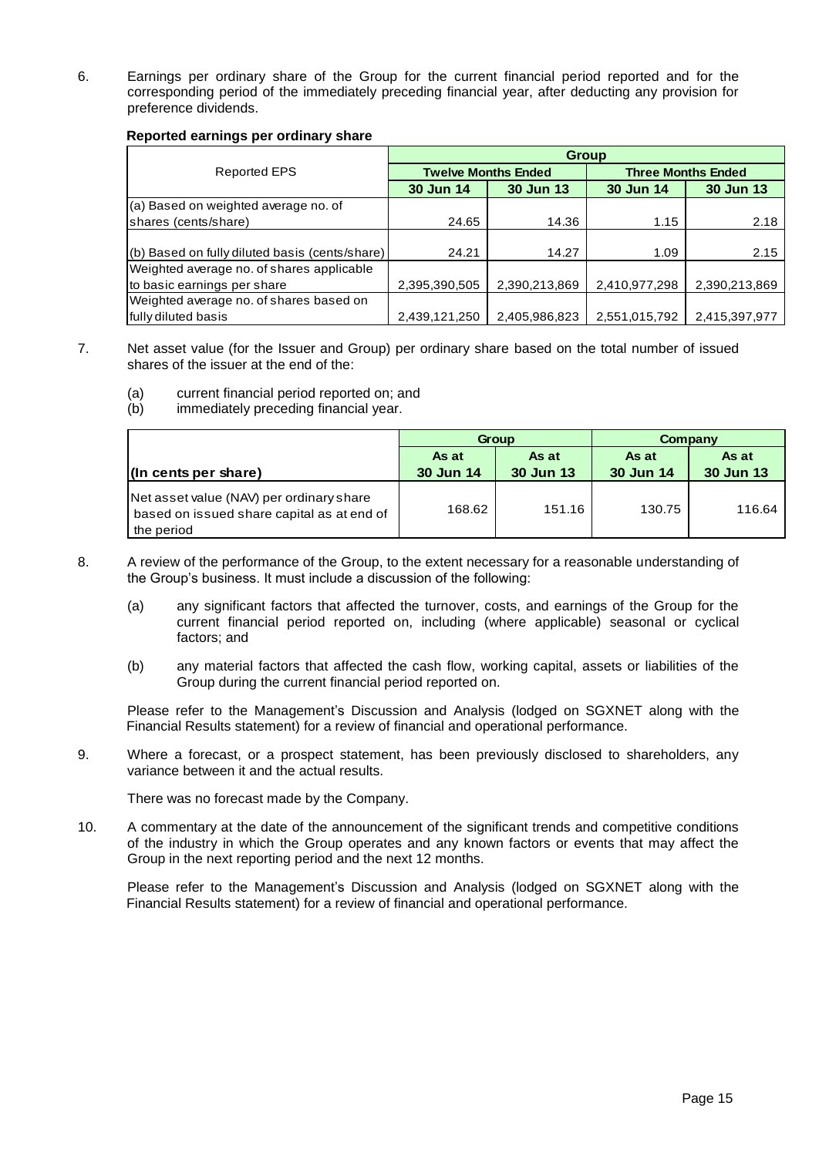6. Earnings per ordinary share of the Group for the current financial period reported and for the corresponding period of the immediately preceding financial year, after deducting any provision for preference dividends.

#### **Reported earnings per ordinary share**

|                                                | <b>Group</b>  |                            |                           |               |  |  |  |  |  |
|------------------------------------------------|---------------|----------------------------|---------------------------|---------------|--|--|--|--|--|
| Reported EPS                                   |               | <b>Twelve Months Ended</b> | <b>Three Months Ended</b> |               |  |  |  |  |  |
|                                                | 30 Jun 14     | 30 Jun 13                  | 30 Jun 14                 | 30 Jun 13     |  |  |  |  |  |
| (a) Based on weighted average no. of           |               |                            |                           |               |  |  |  |  |  |
| shares (cents/share)                           | 24.65         | 14.36                      | 1.15                      | 2.18          |  |  |  |  |  |
|                                                |               |                            |                           |               |  |  |  |  |  |
| (b) Based on fully diluted basis (cents/share) | 24.21         | 14.27                      | 1.09                      | 2.15          |  |  |  |  |  |
| Weighted average no. of shares applicable      |               |                            |                           |               |  |  |  |  |  |
| to basic earnings per share                    | 2,395,390,505 | 2,390,213,869              | 2,410,977,298             | 2,390,213,869 |  |  |  |  |  |
| Weighted average no. of shares based on        |               |                            |                           |               |  |  |  |  |  |
| fully diluted basis                            | 2,439,121,250 | 2.405.986.823              | 2,551,015,792             | 2,415,397,977 |  |  |  |  |  |

- 7. Net asset value (for the Issuer and Group) per ordinary share based on the total number of issued shares of the issuer at the end of the:
	- (a) current financial period reported on; and
	- (b) immediately preceding financial year.

|                                                                                                      |           | Group            | Company   |                  |  |
|------------------------------------------------------------------------------------------------------|-----------|------------------|-----------|------------------|--|
|                                                                                                      | As at     | As at            | As at     | As at            |  |
| $\ln$ cents per share)                                                                               | 30 Jun 14 | <b>30 Jun 13</b> | 30 Jun 14 | <b>30 Jun 13</b> |  |
| Net asset value (NAV) per ordinary share<br>based on issued share capital as at end of<br>the period | 168.62    | 151.16           | 130.75    | 116.64           |  |

- 8. A review of the performance of the Group, to the extent necessary for a reasonable understanding of the Group's business. It must include a discussion of the following:
	- (a) any significant factors that affected the turnover, costs, and earnings of the Group for the current financial period reported on, including (where applicable) seasonal or cyclical factors; and
	- (b) any material factors that affected the cash flow, working capital, assets or liabilities of the Group during the current financial period reported on.

Please refer to the Management's Discussion and Analysis (lodged on SGXNET along with the Financial Results statement) for a review of financial and operational performance.

9. Where a forecast, or a prospect statement, has been previously disclosed to shareholders, any variance between it and the actual results.

There was no forecast made by the Company.

10. A commentary at the date of the announcement of the significant trends and competitive conditions of the industry in which the Group operates and any known factors or events that may affect the Group in the next reporting period and the next 12 months.

Please refer to the Management's Discussion and Analysis (lodged on SGXNET along with the Financial Results statement) for a review of financial and operational performance.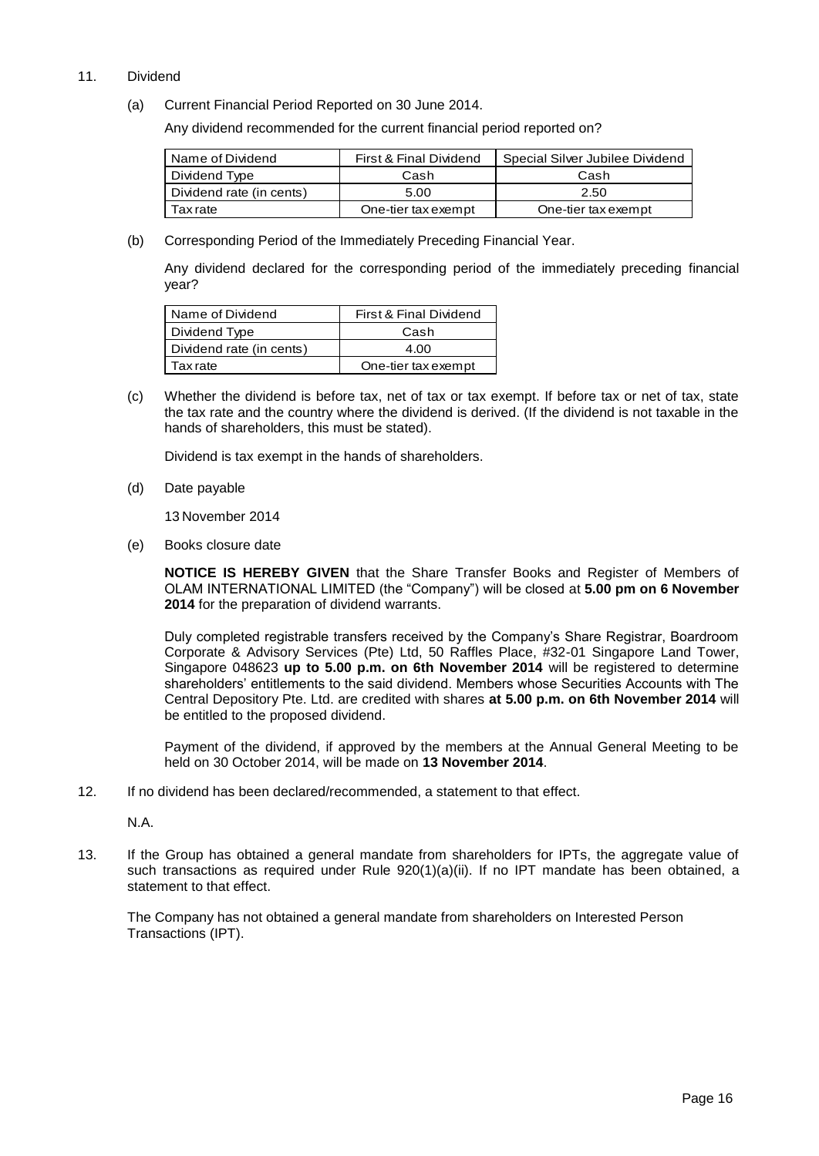### 11. Dividend

(a) Current Financial Period Reported on 30 June 2014.

Any dividend recommended for the current financial period reported on?

| Name of Dividend         | First & Final Dividend | Special Silver Jubilee Dividend |
|--------------------------|------------------------|---------------------------------|
| Dividend Type            | Cash                   | Cash                            |
| Dividend rate (in cents) | 5.00                   | 2.50                            |
| Tax rate                 | One-tier tax exempt    | One-tier tax exempt             |

(b) Corresponding Period of the Immediately Preceding Financial Year.

Any dividend declared for the corresponding period of the immediately preceding financial year?

| Name of Dividend         | First & Final Dividend |
|--------------------------|------------------------|
| Dividend Type            | Cash                   |
| Dividend rate (in cents) | 4.00                   |
| <b>Tax</b> rate          | One-tier tax exempt    |

(c) Whether the dividend is before tax, net of tax or tax exempt. If before tax or net of tax, state the tax rate and the country where the dividend is derived. (If the dividend is not taxable in the hands of shareholders, this must be stated).

Dividend is tax exempt in the hands of shareholders.

(d) Date payable

13 November 2014

(e) Books closure date

**NOTICE IS HEREBY GIVEN** that the Share Transfer Books and Register of Members of OLAM INTERNATIONAL LIMITED (the "Company") will be closed at **5.00 pm on 6 November 2014** for the preparation of dividend warrants.

Duly completed registrable transfers received by the Company's Share Registrar, Boardroom Corporate & Advisory Services (Pte) Ltd, 50 Raffles Place, #32-01 Singapore Land Tower, Singapore 048623 **up to 5.00 p.m. on 6th November 2014** will be registered to determine shareholders' entitlements to the said dividend. Members whose Securities Accounts with The Central Depository Pte. Ltd. are credited with shares **at 5.00 p.m. on 6th November 2014** will be entitled to the proposed dividend.

Payment of the dividend, if approved by the members at the Annual General Meeting to be held on 30 October 2014, will be made on **13 November 2014**.

12. If no dividend has been declared/recommended, a statement to that effect.

N.A.

13. If the Group has obtained a general mandate from shareholders for IPTs, the aggregate value of such transactions as required under Rule 920(1)(a)(ii). If no IPT mandate has been obtained, a statement to that effect.

The Company has not obtained a general mandate from shareholders on Interested Person Transactions (IPT).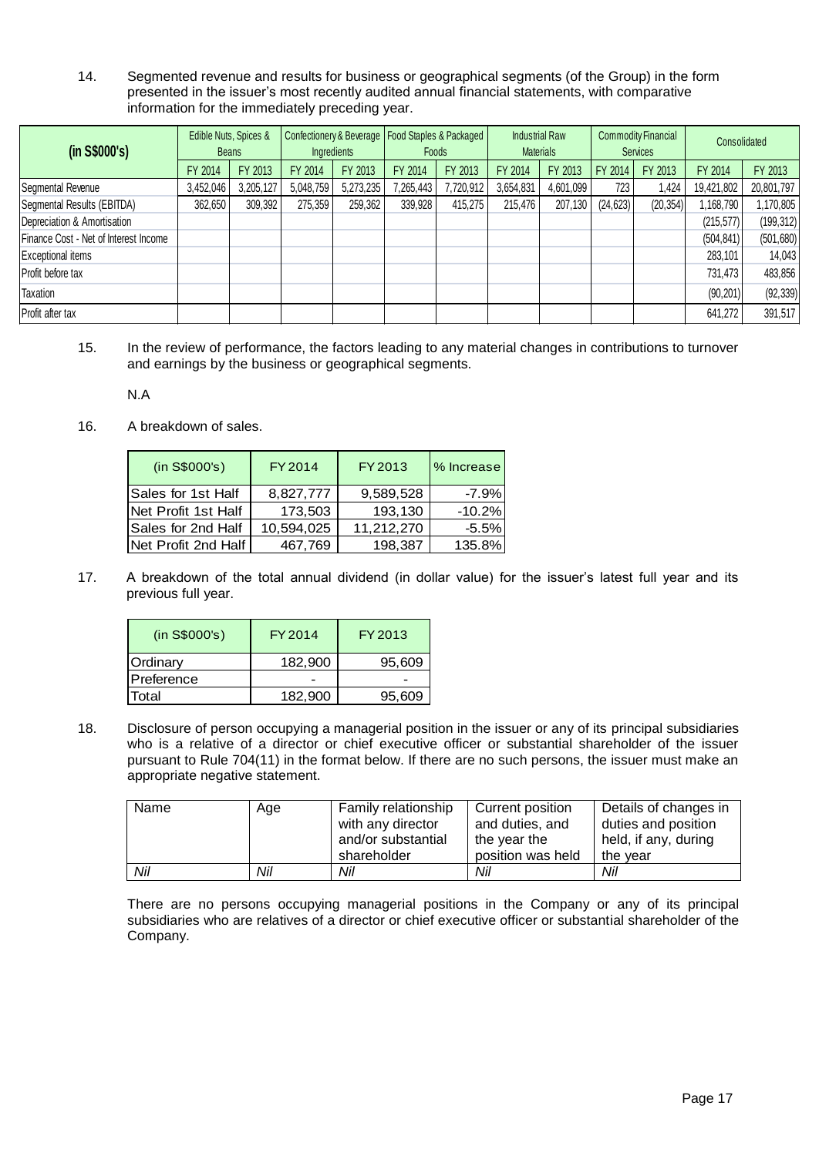14. Segmented revenue and results for business or geographical segments (of the Group) in the form presented in the issuer's most recently audited annual financial statements, with comparative information for the immediately preceding year.

| (in S\$000's)                         |           | Edible Nuts, Spices &<br><b>Beans</b> | Ingredients |           | Confectionery & Beverage   Food Staples & Packaged  <br>Foods |           |           | <b>Industrial Raw</b><br><b>Materials</b> | <b>Commodity Financial</b><br><b>Services</b> |           | Consolidated |            |
|---------------------------------------|-----------|---------------------------------------|-------------|-----------|---------------------------------------------------------------|-----------|-----------|-------------------------------------------|-----------------------------------------------|-----------|--------------|------------|
|                                       | FY 2014   | FY 2013                               | FY 2014     | FY 2013   | FY 2014                                                       | FY 2013   | FY 2014   | FY 2013                                   | FY 2014                                       | FY 2013   | FY 2014      | FY 2013    |
| Segmental Revenue                     | 3,452,046 | 3,205,127                             | 5,048,759   | 5,273,235 | 7,265,443                                                     | 7,720,912 | 3,654,831 | 4,601,099                                 | 723                                           | 1.424     | 19,421,802   | 20,801,797 |
| Segmental Results (EBITDA)            | 362,650   | 309,392                               | 275,359     | 259,362   | 339,928                                                       | 415.275   | 215,476   | 207,130                                   | (24, 623)                                     | (20, 354) | ,168,790     | 1,170,805  |
| Depreciation & Amortisation           |           |                                       |             |           |                                                               |           |           |                                           |                                               |           | (215, 577)   | (199, 312) |
| Finance Cost - Net of Interest Income |           |                                       |             |           |                                                               |           |           |                                           |                                               |           | (504, 841)   | (501, 680) |
| <b>Exceptional items</b>              |           |                                       |             |           |                                                               |           |           |                                           |                                               |           | 283,101      | 14,043     |
| Profit before tax                     |           |                                       |             |           |                                                               |           |           |                                           |                                               |           | 731,473      | 483,856    |
| Taxation                              |           |                                       |             |           |                                                               |           |           |                                           |                                               |           | (90, 201)    | (92, 339)  |
| Profit after tax                      |           |                                       |             |           |                                                               |           |           |                                           |                                               |           | 641,272      | 391,517    |

15. In the review of performance, the factors leading to any material changes in contributions to turnover and earnings by the business or geographical segments.

N.A

16. A breakdown of sales.

| (in S\$000's)       | <b>FY2014</b> | FY 2013    | % Increase |  |  |
|---------------------|---------------|------------|------------|--|--|
| Sales for 1st Half  | 8,827,777     | 9,589,528  | $-7.9%$    |  |  |
| Net Profit 1st Half | 173,503       | 193,130    | $-10.2%$   |  |  |
| Sales for 2nd Half  | 10,594,025    | 11,212,270 | $-5.5%$    |  |  |
| Net Profit 2nd Half | 467,769       | 198,387    | 135.8%     |  |  |

17. A breakdown of the total annual dividend (in dollar value) for the issuer's latest full year and its previous full year.

| (in S\$000's) | FY 2014 | FY 2013 |  |
|---------------|---------|---------|--|
| Ordinary      | 182,900 | 95,609  |  |
| Preference    |         |         |  |
| Total         | 182,900 | 95,609  |  |

18. Disclosure of person occupying a managerial position in the issuer or any of its principal subsidiaries who is a relative of a director or chief executive officer or substantial shareholder of the issuer pursuant to Rule 704(11) in the format below. If there are no such persons, the issuer must make an appropriate negative statement.

| Name | Age | <b>Family relationship</b><br>with any director<br>and/or substantial<br>shareholder | Current position<br>and duties, and<br>the year the<br>position was held | Details of changes in<br>duties and position<br>held, if any, during<br>the vear |
|------|-----|--------------------------------------------------------------------------------------|--------------------------------------------------------------------------|----------------------------------------------------------------------------------|
| Nil  | Nil | Nil                                                                                  | Nil                                                                      | Nil                                                                              |

There are no persons occupying managerial positions in the Company or any of its principal subsidiaries who are relatives of a director or chief executive officer or substantial shareholder of the Company.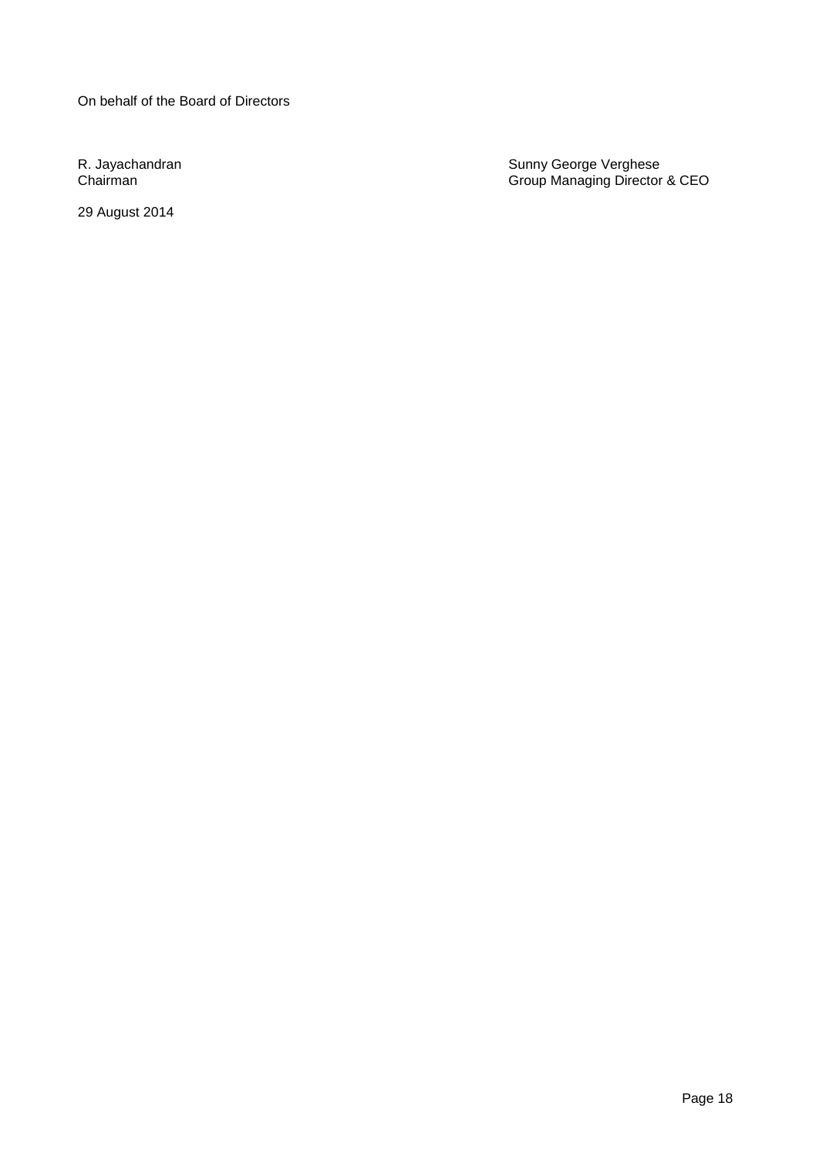On behalf of the Board of Directors

29 August 2014

R. Jayachandran Sunny George Verghese Chairman Group Managing Director & CEO